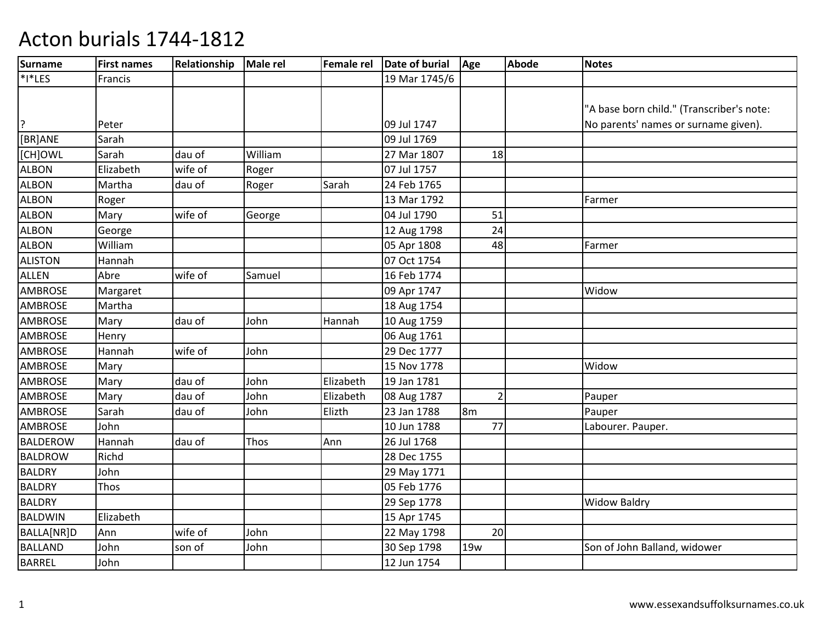| <b>Surname</b>  | <b>First names</b> | Relationship | <b>Male rel</b> | <b>Female rel</b> | Date of burial | Age             | <b>Abode</b> | <b>Notes</b>                              |
|-----------------|--------------------|--------------|-----------------|-------------------|----------------|-----------------|--------------|-------------------------------------------|
| *I*LES          | Francis            |              |                 |                   | 19 Mar 1745/6  |                 |              |                                           |
|                 |                    |              |                 |                   |                |                 |              |                                           |
|                 |                    |              |                 |                   |                |                 |              | "A base born child." (Transcriber's note: |
| ?               | Peter              |              |                 |                   | 09 Jul 1747    |                 |              | No parents' names or surname given).      |
| [BR]ANE         | Sarah              |              |                 |                   | 09 Jul 1769    |                 |              |                                           |
| [CH]OWL         | Sarah              | dau of       | William         |                   | 27 Mar 1807    | 18              |              |                                           |
| <b>ALBON</b>    | Elizabeth          | wife of      | Roger           |                   | 07 Jul 1757    |                 |              |                                           |
| ALBON           | Martha             | dau of       | Roger           | Sarah             | 24 Feb 1765    |                 |              |                                           |
| <b>ALBON</b>    | Roger              |              |                 |                   | 13 Mar 1792    |                 |              | Farmer                                    |
| ALBON           | Mary               | wife of      | George          |                   | 04 Jul 1790    | 51              |              |                                           |
| <b>ALBON</b>    | George             |              |                 |                   | 12 Aug 1798    | 24              |              |                                           |
| <b>ALBON</b>    | William            |              |                 |                   | 05 Apr 1808    | 48              |              | Farmer                                    |
| <b>ALISTON</b>  | Hannah             |              |                 |                   | 07 Oct 1754    |                 |              |                                           |
| <b>ALLEN</b>    | Abre               | wife of      | Samuel          |                   | 16 Feb 1774    |                 |              |                                           |
| AMBROSE         | Margaret           |              |                 |                   | 09 Apr 1747    |                 |              | Widow                                     |
| <b>AMBROSE</b>  | Martha             |              |                 |                   | 18 Aug 1754    |                 |              |                                           |
| <b>AMBROSE</b>  | Mary               | dau of       | John            | Hannah            | 10 Aug 1759    |                 |              |                                           |
| AMBROSE         | Henry              |              |                 |                   | 06 Aug 1761    |                 |              |                                           |
| <b>AMBROSE</b>  | Hannah             | wife of      | John            |                   | 29 Dec 1777    |                 |              |                                           |
| <b>AMBROSE</b>  | Mary               |              |                 |                   | 15 Nov 1778    |                 |              | Widow                                     |
| <b>AMBROSE</b>  | Mary               | dau of       | John            | Elizabeth         | 19 Jan 1781    |                 |              |                                           |
| <b>AMBROSE</b>  | Mary               | dau of       | John            | Elizabeth         | 08 Aug 1787    | $\overline{2}$  |              | Pauper                                    |
| AMBROSE         | Sarah              | dau of       | John            | Elizth            | 23 Jan 1788    | 8 <sub>m</sub>  |              | Pauper                                    |
| <b>AMBROSE</b>  | John               |              |                 |                   | 10 Jun 1788    | 77              |              | Labourer. Pauper.                         |
| <b>BALDEROW</b> | Hannah             | dau of       | Thos            | Ann               | 26 Jul 1768    |                 |              |                                           |
| <b>BALDROW</b>  | Richd              |              |                 |                   | 28 Dec 1755    |                 |              |                                           |
| <b>BALDRY</b>   | John               |              |                 |                   | 29 May 1771    |                 |              |                                           |
| <b>BALDRY</b>   | Thos               |              |                 |                   | 05 Feb 1776    |                 |              |                                           |
| <b>BALDRY</b>   |                    |              |                 |                   | 29 Sep 1778    |                 |              | <b>Widow Baldry</b>                       |
| <b>BALDWIN</b>  | Elizabeth          |              |                 |                   | 15 Apr 1745    |                 |              |                                           |
| BALLA[NR]D      | Ann                | wife of      | John            |                   | 22 May 1798    | 20              |              |                                           |
| <b>BALLAND</b>  | John               | son of       | John            |                   | 30 Sep 1798    | 19 <sub>w</sub> |              | Son of John Balland, widower              |
| <b>BARREL</b>   | John               |              |                 |                   | 12 Jun 1754    |                 |              |                                           |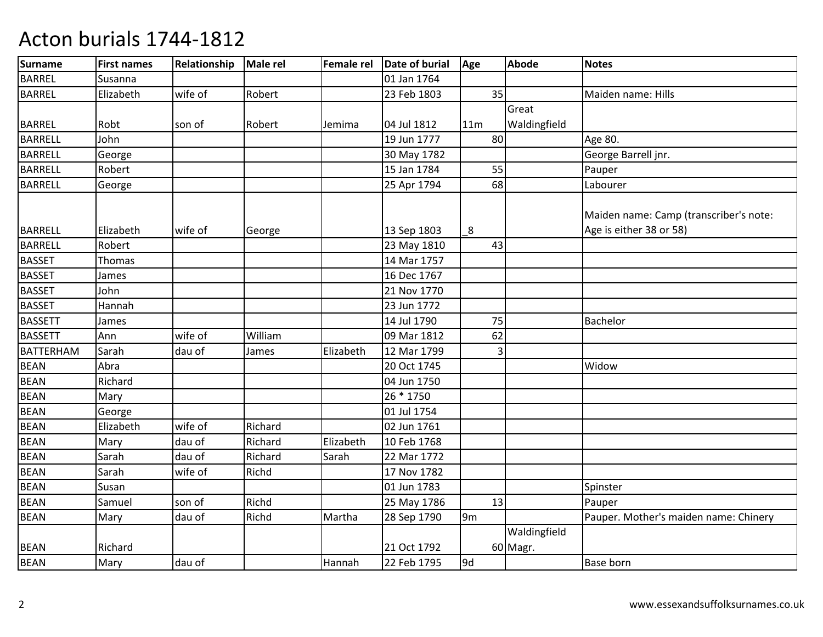| <b>Surname</b>   | <b>First names</b> | Relationship | Male rel | Female rel | Date of burial | Age             | Abode                      | <b>Notes</b>                                                      |
|------------------|--------------------|--------------|----------|------------|----------------|-----------------|----------------------------|-------------------------------------------------------------------|
| <b>BARREL</b>    | Susanna            |              |          |            | 01 Jan 1764    |                 |                            |                                                                   |
| BARREL           | Elizabeth          | wife of      | Robert   |            | 23 Feb 1803    | 35              |                            | Maiden name: Hills                                                |
|                  |                    |              |          |            |                |                 | Great                      |                                                                   |
| <b>BARREL</b>    | Robt               | son of       | Robert   | Jemima     | 04 Jul 1812    | 11 <sub>m</sub> | Waldingfield               |                                                                   |
| <b>BARRELL</b>   | John               |              |          |            | 19 Jun 1777    | 80              |                            | Age 80.                                                           |
| <b>BARRELL</b>   | George             |              |          |            | 30 May 1782    |                 |                            | George Barrell jnr.                                               |
| BARRELL          | Robert             |              |          |            | 15 Jan 1784    | 55              |                            | Pauper                                                            |
| <b>BARRELL</b>   | George             |              |          |            | 25 Apr 1794    | 68              |                            | Labourer                                                          |
| <b>BARRELL</b>   | Elizabeth          | wife of      | George   |            | 13 Sep 1803    | 8               |                            | Maiden name: Camp (transcriber's note:<br>Age is either 38 or 58) |
| <b>BARRELL</b>   | Robert             |              |          |            | 23 May 1810    | 43              |                            |                                                                   |
| <b>BASSET</b>    | Thomas             |              |          |            | 14 Mar 1757    |                 |                            |                                                                   |
| <b>BASSET</b>    | James              |              |          |            | 16 Dec 1767    |                 |                            |                                                                   |
| <b>BASSET</b>    | John               |              |          |            | 21 Nov 1770    |                 |                            |                                                                   |
| <b>BASSET</b>    | Hannah             |              |          |            | 23 Jun 1772    |                 |                            |                                                                   |
| <b>BASSETT</b>   | James              |              |          |            | 14 Jul 1790    | 75              |                            | Bachelor                                                          |
| <b>BASSETT</b>   | Ann                | wife of      | William  |            | 09 Mar 1812    | 62              |                            |                                                                   |
| <b>BATTERHAM</b> | Sarah              | dau of       | James    | Elizabeth  | 12 Mar 1799    | 3 <sup>1</sup>  |                            |                                                                   |
| <b>BEAN</b>      | Abra               |              |          |            | 20 Oct 1745    |                 |                            | Widow                                                             |
| <b>BEAN</b>      | Richard            |              |          |            | 04 Jun 1750    |                 |                            |                                                                   |
| <b>BEAN</b>      | Mary               |              |          |            | 26 * 1750      |                 |                            |                                                                   |
| <b>BEAN</b>      | George             |              |          |            | 01 Jul 1754    |                 |                            |                                                                   |
| <b>BEAN</b>      | Elizabeth          | wife of      | Richard  |            | 02 Jun 1761    |                 |                            |                                                                   |
| <b>BEAN</b>      | Mary               | dau of       | Richard  | Elizabeth  | 10 Feb 1768    |                 |                            |                                                                   |
| <b>BEAN</b>      | Sarah              | dau of       | Richard  | Sarah      | 22 Mar 1772    |                 |                            |                                                                   |
| <b>BEAN</b>      | Sarah              | wife of      | Richd    |            | 17 Nov 1782    |                 |                            |                                                                   |
| <b>BEAN</b>      | Susan              |              |          |            | 01 Jun 1783    |                 |                            | Spinster                                                          |
| <b>BEAN</b>      | Samuel             | son of       | Richd    |            | 25 May 1786    | 13              |                            | Pauper                                                            |
| <b>BEAN</b>      | Mary               | dau of       | Richd    | Martha     | 28 Sep 1790    | 9 <sub>m</sub>  |                            | Pauper. Mother's maiden name: Chinery                             |
| <b>BEAN</b>      | Richard            |              |          |            | 21 Oct 1792    |                 | Waldingfield<br>$60$ Magr. |                                                                   |
| <b>BEAN</b>      | Mary               | dau of       |          | Hannah     | 22 Feb 1795    | 9d              |                            | <b>Base born</b>                                                  |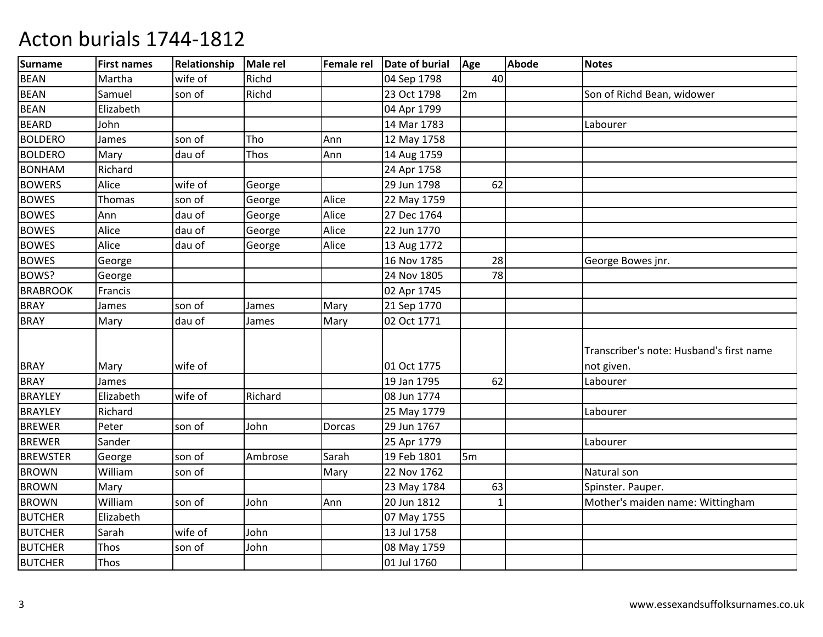| <b>Surname</b>  | <b>First names</b> | Relationship | <b>Male rel</b> | <b>Female rel</b> | Date of burial | Age | Abode | <b>Notes</b>                                           |
|-----------------|--------------------|--------------|-----------------|-------------------|----------------|-----|-------|--------------------------------------------------------|
| <b>BEAN</b>     | Martha             | wife of      | Richd           |                   | 04 Sep 1798    | 40  |       |                                                        |
| <b>BEAN</b>     | Samuel             | son of       | Richd           |                   | 23 Oct 1798    | 2m  |       | Son of Richd Bean, widower                             |
| <b>BEAN</b>     | Elizabeth          |              |                 |                   | 04 Apr 1799    |     |       |                                                        |
| <b>BEARD</b>    | John               |              |                 |                   | 14 Mar 1783    |     |       | Labourer                                               |
| <b>BOLDERO</b>  | James              | son of       | Tho             | Ann               | 12 May 1758    |     |       |                                                        |
| <b>BOLDERO</b>  | Mary               | dau of       | Thos            | Ann               | 14 Aug 1759    |     |       |                                                        |
| <b>BONHAM</b>   | Richard            |              |                 |                   | 24 Apr 1758    |     |       |                                                        |
| <b>BOWERS</b>   | Alice              | wife of      | George          |                   | 29 Jun 1798    | 62  |       |                                                        |
| <b>BOWES</b>    | Thomas             | son of       | George          | Alice             | 22 May 1759    |     |       |                                                        |
| <b>BOWES</b>    | Ann                | dau of       | George          | Alice             | 27 Dec 1764    |     |       |                                                        |
| <b>BOWES</b>    | Alice              | dau of       | George          | Alice             | 22 Jun 1770    |     |       |                                                        |
| <b>BOWES</b>    | Alice              | dau of       | George          | Alice             | 13 Aug 1772    |     |       |                                                        |
| <b>BOWES</b>    | George             |              |                 |                   | 16 Nov 1785    | 28  |       | George Bowes jnr.                                      |
| BOWS?           | George             |              |                 |                   | 24 Nov 1805    | 78  |       |                                                        |
| <b>BRABROOK</b> | Francis            |              |                 |                   | 02 Apr 1745    |     |       |                                                        |
| <b>BRAY</b>     | James              | son of       | James           | Mary              | 21 Sep 1770    |     |       |                                                        |
| <b>BRAY</b>     | Mary               | dau of       | James           | Mary              | 02 Oct 1771    |     |       |                                                        |
| <b>BRAY</b>     | Mary               | wife of      |                 |                   | 01 Oct 1775    |     |       | Transcriber's note: Husband's first name<br>not given. |
| <b>BRAY</b>     | James              |              |                 |                   | 19 Jan 1795    | 62  |       | Labourer                                               |
| <b>BRAYLEY</b>  | Elizabeth          | wife of      | Richard         |                   | 08 Jun 1774    |     |       |                                                        |
| <b>BRAYLEY</b>  | Richard            |              |                 |                   | 25 May 1779    |     |       | Labourer                                               |
| <b>BREWER</b>   | Peter              | son of       | John            | Dorcas            | 29 Jun 1767    |     |       |                                                        |
| <b>BREWER</b>   | Sander             |              |                 |                   | 25 Apr 1779    |     |       | Labourer                                               |
| <b>BREWSTER</b> | George             | son of       | Ambrose         | Sarah             | 19 Feb 1801    | 5m  |       |                                                        |
| <b>BROWN</b>    | William            | son of       |                 | Mary              | 22 Nov 1762    |     |       | Natural son                                            |
| <b>BROWN</b>    | Mary               |              |                 |                   | 23 May 1784    | 63  |       | Spinster. Pauper.                                      |
| <b>BROWN</b>    | William            | son of       | John            | Ann               | 20 Jun 1812    | 1   |       | Mother's maiden name: Wittingham                       |
| <b>BUTCHER</b>  | Elizabeth          |              |                 |                   | 07 May 1755    |     |       |                                                        |
| <b>BUTCHER</b>  | Sarah              | wife of      | John            |                   | 13 Jul 1758    |     |       |                                                        |
| <b>BUTCHER</b>  | Thos               | son of       | John            |                   | 08 May 1759    |     |       |                                                        |
| <b>BUTCHER</b>  | Thos               |              |                 |                   | 01 Jul 1760    |     |       |                                                        |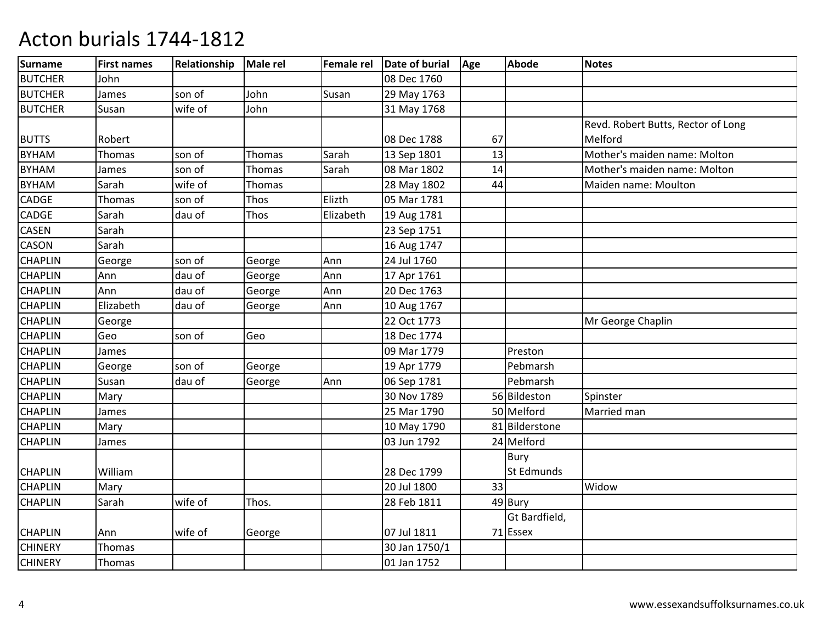| Surname        | <b>First names</b> | Relationship | Male rel | Female rel | Date of burial | Age | Abode          | <b>Notes</b>                       |
|----------------|--------------------|--------------|----------|------------|----------------|-----|----------------|------------------------------------|
| <b>BUTCHER</b> | John               |              |          |            | 08 Dec 1760    |     |                |                                    |
| <b>BUTCHER</b> | James              | son of       | John     | Susan      | 29 May 1763    |     |                |                                    |
| <b>BUTCHER</b> | Susan              | wife of      | John     |            | 31 May 1768    |     |                |                                    |
|                |                    |              |          |            |                |     |                | Revd. Robert Butts, Rector of Long |
| <b>BUTTS</b>   | Robert             |              |          |            | 08 Dec 1788    | 67  |                | Melford                            |
| <b>BYHAM</b>   | <b>Thomas</b>      | son of       | Thomas   | Sarah      | 13 Sep 1801    | 13  |                | Mother's maiden name: Molton       |
| <b>BYHAM</b>   | James              | son of       | Thomas   | Sarah      | 08 Mar 1802    | 14  |                | Mother's maiden name: Molton       |
| <b>BYHAM</b>   | Sarah              | wife of      | Thomas   |            | 28 May 1802    | 44  |                | Maiden name: Moulton               |
| <b>CADGE</b>   | <b>Thomas</b>      | son of       | Thos     | Elizth     | 05 Mar 1781    |     |                |                                    |
| CADGE          | Sarah              | dau of       | Thos     | Elizabeth  | 19 Aug 1781    |     |                |                                    |
| <b>CASEN</b>   | Sarah              |              |          |            | 23 Sep 1751    |     |                |                                    |
| <b>CASON</b>   | Sarah              |              |          |            | 16 Aug 1747    |     |                |                                    |
| <b>CHAPLIN</b> | George             | son of       | George   | Ann        | 24 Jul 1760    |     |                |                                    |
| <b>CHAPLIN</b> | Ann                | dau of       | George   | Ann        | 17 Apr 1761    |     |                |                                    |
| <b>CHAPLIN</b> | Ann                | dau of       | George   | Ann        | 20 Dec 1763    |     |                |                                    |
| <b>CHAPLIN</b> | Elizabeth          | dau of       | George   | Ann        | 10 Aug 1767    |     |                |                                    |
| <b>CHAPLIN</b> | George             |              |          |            | 22 Oct 1773    |     |                | Mr George Chaplin                  |
| <b>CHAPLIN</b> | Geo                | son of       | Geo      |            | 18 Dec 1774    |     |                |                                    |
| <b>CHAPLIN</b> | James              |              |          |            | 09 Mar 1779    |     | Preston        |                                    |
| <b>CHAPLIN</b> | George             | son of       | George   |            | 19 Apr 1779    |     | Pebmarsh       |                                    |
| <b>CHAPLIN</b> | Susan              | dau of       | George   | Ann        | 06 Sep 1781    |     | Pebmarsh       |                                    |
| <b>CHAPLIN</b> | Mary               |              |          |            | 30 Nov 1789    |     | 56 Bildeston   | Spinster                           |
| <b>CHAPLIN</b> | James              |              |          |            | 25 Mar 1790    |     | 50 Melford     | Married man                        |
| <b>CHAPLIN</b> | Mary               |              |          |            | 10 May 1790    |     | 81 Bilderstone |                                    |
| <b>CHAPLIN</b> | James              |              |          |            | 03 Jun 1792    |     | 24 Melford     |                                    |
|                |                    |              |          |            |                |     | Bury           |                                    |
| <b>CHAPLIN</b> | William            |              |          |            | 28 Dec 1799    |     | St Edmunds     |                                    |
| <b>CHAPLIN</b> | Mary               |              |          |            | 20 Jul 1800    | 33  |                | Widow                              |
| <b>CHAPLIN</b> | Sarah              | wife of      | Thos.    |            | 28 Feb 1811    |     | 49 Bury        |                                    |
|                |                    |              |          |            |                |     | Gt Bardfield,  |                                    |
| <b>CHAPLIN</b> | Ann                | wife of      | George   |            | 07 Jul 1811    |     | 71 Essex       |                                    |
| <b>CHINERY</b> | Thomas             |              |          |            | 30 Jan 1750/1  |     |                |                                    |
| <b>CHINERY</b> | Thomas             |              |          |            | 01 Jan 1752    |     |                |                                    |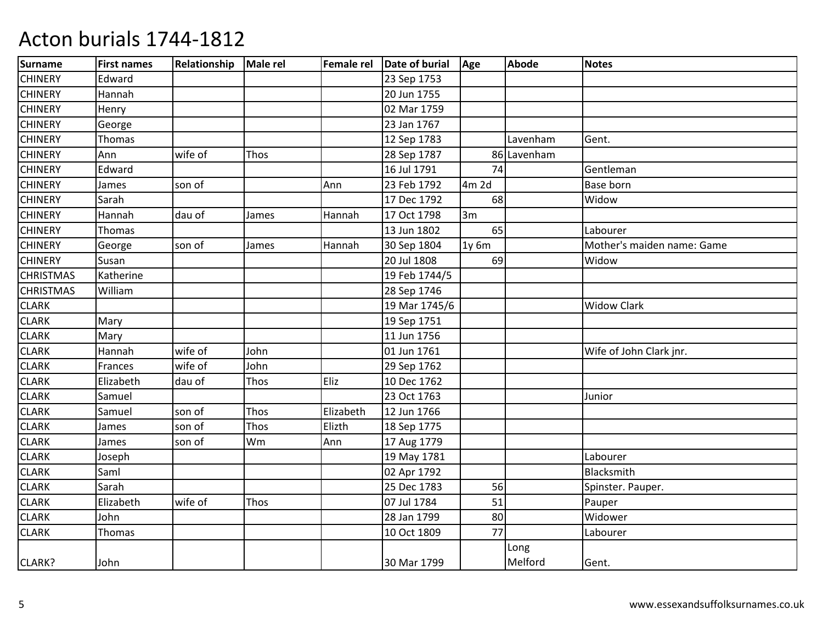| <b>Surname</b>   | <b>First names</b> | Relationship | Male rel | <b>Female rel</b> | Date of burial | Age     | Abode       | <b>Notes</b>               |
|------------------|--------------------|--------------|----------|-------------------|----------------|---------|-------------|----------------------------|
| <b>CHINERY</b>   | Edward             |              |          |                   | 23 Sep 1753    |         |             |                            |
| <b>CHINERY</b>   | Hannah             |              |          |                   | 20 Jun 1755    |         |             |                            |
| <b>CHINERY</b>   | Henry              |              |          |                   | 02 Mar 1759    |         |             |                            |
| <b>CHINERY</b>   | George             |              |          |                   | 23 Jan 1767    |         |             |                            |
| <b>CHINERY</b>   | Thomas             |              |          |                   | 12 Sep 1783    |         | Lavenham    | Gent.                      |
| <b>CHINERY</b>   | Ann                | wife of      | Thos     |                   | 28 Sep 1787    |         | 86 Lavenham |                            |
| <b>CHINERY</b>   | Edward             |              |          |                   | 16 Jul 1791    | 74      |             | Gentleman                  |
| <b>CHINERY</b>   | James              | son of       |          | Ann               | 23 Feb 1792    | 4m 2d   |             | <b>Base born</b>           |
| <b>CHINERY</b>   | Sarah              |              |          |                   | 17 Dec 1792    | 68      |             | Widow                      |
| <b>CHINERY</b>   | Hannah             | dau of       | James    | Hannah            | 17 Oct 1798    | 3m      |             |                            |
| <b>CHINERY</b>   | <b>Thomas</b>      |              |          |                   | 13 Jun 1802    | 65      |             | Labourer                   |
| <b>CHINERY</b>   | George             | son of       | James    | Hannah            | 30 Sep 1804    | $1y$ 6m |             | Mother's maiden name: Game |
| <b>CHINERY</b>   | Susan              |              |          |                   | 20 Jul 1808    | 69      |             | Widow                      |
| <b>CHRISTMAS</b> | Katherine          |              |          |                   | 19 Feb 1744/5  |         |             |                            |
| <b>CHRISTMAS</b> | William            |              |          |                   | 28 Sep 1746    |         |             |                            |
| <b>CLARK</b>     |                    |              |          |                   | 19 Mar 1745/6  |         |             | <b>Widow Clark</b>         |
| <b>CLARK</b>     | Mary               |              |          |                   | 19 Sep 1751    |         |             |                            |
| <b>CLARK</b>     | Mary               |              |          |                   | 11 Jun 1756    |         |             |                            |
| <b>CLARK</b>     | Hannah             | wife of      | John     |                   | 01 Jun 1761    |         |             | Wife of John Clark jnr.    |
| <b>CLARK</b>     | Frances            | wife of      | John     |                   | 29 Sep 1762    |         |             |                            |
| <b>CLARK</b>     | Elizabeth          | dau of       | Thos     | Eliz              | 10 Dec 1762    |         |             |                            |
| <b>CLARK</b>     | Samuel             |              |          |                   | 23 Oct 1763    |         |             | Junior                     |
| <b>CLARK</b>     | Samuel             | son of       | Thos     | Elizabeth         | 12 Jun 1766    |         |             |                            |
| <b>CLARK</b>     | James              | son of       | Thos     | Elizth            | 18 Sep 1775    |         |             |                            |
| <b>CLARK</b>     | James              | son of       | Wm       | Ann               | 17 Aug 1779    |         |             |                            |
| <b>CLARK</b>     | Joseph             |              |          |                   | 19 May 1781    |         |             | Labourer                   |
| <b>CLARK</b>     | Saml               |              |          |                   | 02 Apr 1792    |         |             | Blacksmith                 |
| <b>CLARK</b>     | Sarah              |              |          |                   | 25 Dec 1783    | 56      |             | Spinster. Pauper.          |
| <b>CLARK</b>     | Elizabeth          | wife of      | Thos     |                   | 07 Jul 1784    | 51      |             | Pauper                     |
| <b>CLARK</b>     | John               |              |          |                   | 28 Jan 1799    | 80      |             | Widower                    |
| <b>CLARK</b>     | Thomas             |              |          |                   | 10 Oct 1809    | 77      |             | Labourer                   |
|                  |                    |              |          |                   |                |         | Long        |                            |
| CLARK?           | John               |              |          |                   | 30 Mar 1799    |         | Melford     | Gent.                      |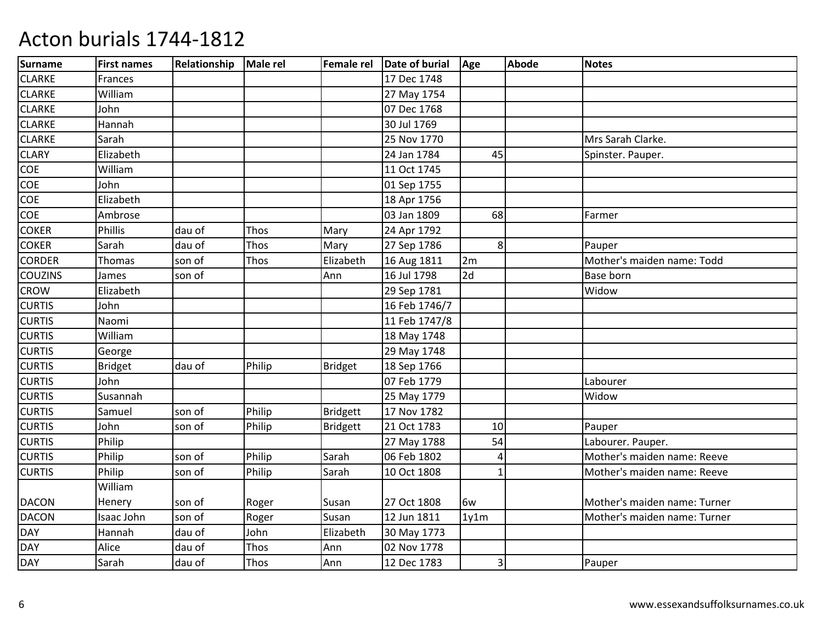| <b>Surname</b> | <b>First names</b> | Relationship | Male rel | <b>Female rel</b> | Date of burial | Age  | Abode | <b>Notes</b>                 |
|----------------|--------------------|--------------|----------|-------------------|----------------|------|-------|------------------------------|
| <b>CLARKE</b>  | Frances            |              |          |                   | 17 Dec 1748    |      |       |                              |
| <b>CLARKE</b>  | William            |              |          |                   | 27 May 1754    |      |       |                              |
| <b>CLARKE</b>  | John               |              |          |                   | 07 Dec 1768    |      |       |                              |
| <b>CLARKE</b>  | Hannah             |              |          |                   | 30 Jul 1769    |      |       |                              |
| <b>CLARKE</b>  | Sarah              |              |          |                   | 25 Nov 1770    |      |       | Mrs Sarah Clarke.            |
| <b>CLARY</b>   | Elizabeth          |              |          |                   | 24 Jan 1784    | 45   |       | Spinster. Pauper.            |
| COE            | William            |              |          |                   | 11 Oct 1745    |      |       |                              |
| COE            | John               |              |          |                   | 01 Sep 1755    |      |       |                              |
| COE            | Elizabeth          |              |          |                   | 18 Apr 1756    |      |       |                              |
| COE            | Ambrose            |              |          |                   | 03 Jan 1809    | 68   |       | Farmer                       |
| <b>COKER</b>   | <b>Phillis</b>     | dau of       | Thos     | Mary              | 24 Apr 1792    |      |       |                              |
| <b>COKER</b>   | Sarah              | dau of       | Thos     | Mary              | 27 Sep 1786    | 8    |       | Pauper                       |
| <b>CORDER</b>  | Thomas             | son of       | Thos     | Elizabeth         | 16 Aug 1811    | 2m   |       | Mother's maiden name: Todd   |
| <b>COUZINS</b> | James              | son of       |          | Ann               | 16 Jul 1798    | 2d   |       | Base born                    |
| <b>CROW</b>    | Elizabeth          |              |          |                   | 29 Sep 1781    |      |       | Widow                        |
| <b>CURTIS</b>  | John               |              |          |                   | 16 Feb 1746/7  |      |       |                              |
| <b>CURTIS</b>  | Naomi              |              |          |                   | 11 Feb 1747/8  |      |       |                              |
| <b>CURTIS</b>  | William            |              |          |                   | 18 May 1748    |      |       |                              |
| <b>CURTIS</b>  | George             |              |          |                   | 29 May 1748    |      |       |                              |
| <b>CURTIS</b>  | <b>Bridget</b>     | dau of       | Philip   | <b>Bridget</b>    | 18 Sep 1766    |      |       |                              |
| <b>CURTIS</b>  | John               |              |          |                   | 07 Feb 1779    |      |       | Labourer                     |
| <b>CURTIS</b>  | Susannah           |              |          |                   | 25 May 1779    |      |       | Widow                        |
| <b>CURTIS</b>  | Samuel             | son of       | Philip   | <b>Bridgett</b>   | 17 Nov 1782    |      |       |                              |
| <b>CURTIS</b>  | John               | son of       | Philip   | <b>Bridgett</b>   | 21 Oct 1783    | 10   |       | Pauper                       |
| <b>CURTIS</b>  | Philip             |              |          |                   | 27 May 1788    | 54   |       | Labourer. Pauper.            |
| <b>CURTIS</b>  | Philip             | son of       | Philip   | Sarah             | 06 Feb 1802    | 4    |       | Mother's maiden name: Reeve  |
| <b>CURTIS</b>  | Philip             | son of       | Philip   | Sarah             | 10 Oct 1808    | 1    |       | Mother's maiden name: Reeve  |
|                | William            |              |          |                   |                |      |       |                              |
| <b>DACON</b>   | Henery             | son of       | Roger    | Susan             | 27 Oct 1808    | 6w   |       | Mother's maiden name: Turner |
| <b>DACON</b>   | Isaac John         | son of       | Roger    | Susan             | 12 Jun 1811    | 1y1m |       | Mother's maiden name: Turner |
| <b>DAY</b>     | Hannah             | dau of       | John     | Elizabeth         | 30 May 1773    |      |       |                              |
| <b>DAY</b>     | Alice              | dau of       | Thos     | Ann               | 02 Nov 1778    |      |       |                              |
| <b>DAY</b>     | Sarah              | dau of       | Thos     | Ann               | 12 Dec 1783    | 3    |       | Pauper                       |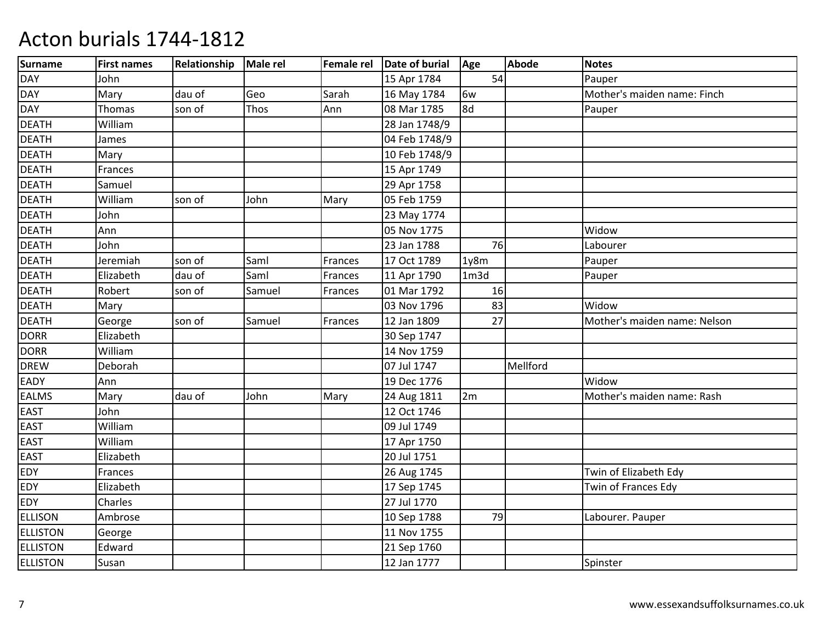| <b>Surname</b>  | <b>First names</b> | Relationship | Male rel | <b>Female rel</b> | Date of burial | Age              | Abode    | <b>Notes</b>                 |
|-----------------|--------------------|--------------|----------|-------------------|----------------|------------------|----------|------------------------------|
| <b>DAY</b>      | John               |              |          |                   | 15 Apr 1784    | 54               |          | Pauper                       |
| <b>DAY</b>      | Mary               | dau of       | Geo      | Sarah             | 16 May 1784    | 6w               |          | Mother's maiden name: Finch  |
| <b>DAY</b>      | Thomas             | son of       | Thos     | Ann               | 08 Mar 1785    | 8d               |          | Pauper                       |
| <b>DEATH</b>    | William            |              |          |                   | 28 Jan 1748/9  |                  |          |                              |
| <b>DEATH</b>    | James              |              |          |                   | 04 Feb 1748/9  |                  |          |                              |
| <b>DEATH</b>    | Mary               |              |          |                   | 10 Feb 1748/9  |                  |          |                              |
| <b>DEATH</b>    | Frances            |              |          |                   | 15 Apr 1749    |                  |          |                              |
| <b>DEATH</b>    | Samuel             |              |          |                   | 29 Apr 1758    |                  |          |                              |
| <b>DEATH</b>    | William            | son of       | John     | Mary              | 05 Feb 1759    |                  |          |                              |
| <b>DEATH</b>    | John               |              |          |                   | 23 May 1774    |                  |          |                              |
| <b>DEATH</b>    | Ann                |              |          |                   | 05 Nov 1775    |                  |          | Widow                        |
| <b>DEATH</b>    | John               |              |          |                   | 23 Jan 1788    | 76               |          | Labourer                     |
| <b>DEATH</b>    | Jeremiah           | son of       | Saml     | Frances           | 17 Oct 1789    | 1y8m             |          | Pauper                       |
| <b>DEATH</b>    | Elizabeth          | dau of       | Saml     | Frances           | 11 Apr 1790    | 1 <sub>m3d</sub> |          | Pauper                       |
| <b>DEATH</b>    | Robert             | son of       | Samuel   | Frances           | 01 Mar 1792    | 16               |          |                              |
| <b>DEATH</b>    | Mary               |              |          |                   | 03 Nov 1796    | 83               |          | Widow                        |
| <b>DEATH</b>    | George             | son of       | Samuel   | Frances           | 12 Jan 1809    | 27               |          | Mother's maiden name: Nelson |
| <b>DORR</b>     | Elizabeth          |              |          |                   | 30 Sep 1747    |                  |          |                              |
| <b>DORR</b>     | William            |              |          |                   | 14 Nov 1759    |                  |          |                              |
| <b>DREW</b>     | Deborah            |              |          |                   | 07 Jul 1747    |                  | Mellford |                              |
| EADY            | Ann                |              |          |                   | 19 Dec 1776    |                  |          | Widow                        |
| <b>EALMS</b>    | Mary               | dau of       | John     | Mary              | 24 Aug 1811    | 2m               |          | Mother's maiden name: Rash   |
| <b>EAST</b>     | John               |              |          |                   | 12 Oct 1746    |                  |          |                              |
| <b>EAST</b>     | William            |              |          |                   | 09 Jul 1749    |                  |          |                              |
| <b>EAST</b>     | William            |              |          |                   | 17 Apr 1750    |                  |          |                              |
| <b>EAST</b>     | Elizabeth          |              |          |                   | 20 Jul 1751    |                  |          |                              |
| EDY             | Frances            |              |          |                   | 26 Aug 1745    |                  |          | Twin of Elizabeth Edy        |
| EDY             | Elizabeth          |              |          |                   | 17 Sep 1745    |                  |          | Twin of Frances Edy          |
| EDY             | Charles            |              |          |                   | 27 Jul 1770    |                  |          |                              |
| <b>ELLISON</b>  | Ambrose            |              |          |                   | 10 Sep 1788    | 79               |          | Labourer. Pauper             |
| <b>ELLISTON</b> | George             |              |          |                   | 11 Nov 1755    |                  |          |                              |
| <b>ELLISTON</b> | Edward             |              |          |                   | 21 Sep 1760    |                  |          |                              |
| <b>ELLISTON</b> | Susan              |              |          |                   | 12 Jan 1777    |                  |          | Spinster                     |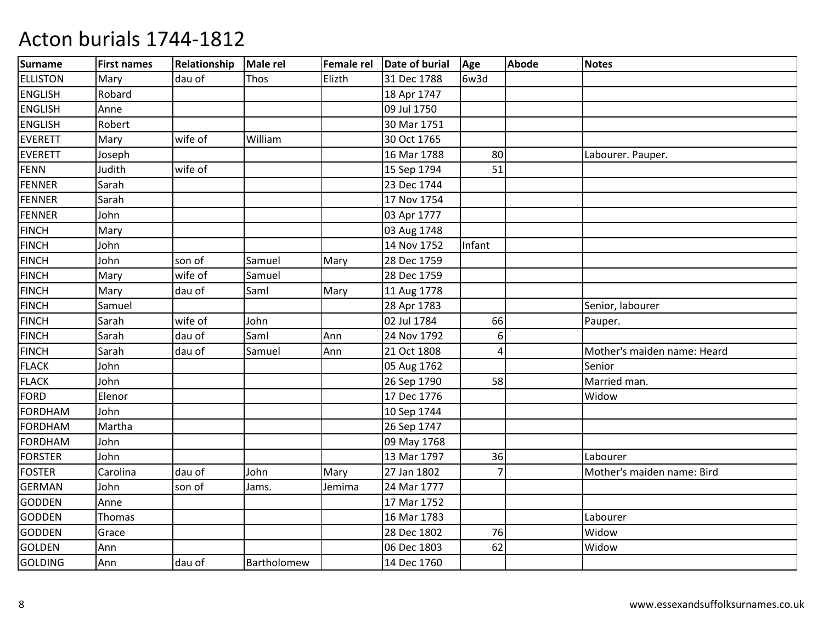| <b>Surname</b>  | <b>First names</b> | <b>Relationship</b> | <b>Male rel</b> | <b>Female rel</b> | Date of burial | Age             | Abode | <b>Notes</b>                |
|-----------------|--------------------|---------------------|-----------------|-------------------|----------------|-----------------|-------|-----------------------------|
| <b>ELLISTON</b> | Mary               | dau of              | <b>Thos</b>     | Elizth            | 31 Dec 1788    | 6w3d            |       |                             |
| <b>ENGLISH</b>  | Robard             |                     |                 |                   | 18 Apr 1747    |                 |       |                             |
| <b>ENGLISH</b>  | Anne               |                     |                 |                   | 09 Jul 1750    |                 |       |                             |
| <b>ENGLISH</b>  | Robert             |                     |                 |                   | 30 Mar 1751    |                 |       |                             |
| <b>EVERETT</b>  | Mary               | wife of             | William         |                   | 30 Oct 1765    |                 |       |                             |
| <b>EVERETT</b>  | Joseph             |                     |                 |                   | 16 Mar 1788    | 80              |       | Labourer. Pauper.           |
| <b>FENN</b>     | Judith             | wife of             |                 |                   | 15 Sep 1794    | 51              |       |                             |
| <b>FENNER</b>   | Sarah              |                     |                 |                   | 23 Dec 1744    |                 |       |                             |
| <b>FENNER</b>   | Sarah              |                     |                 |                   | 17 Nov 1754    |                 |       |                             |
| FENNER          | John               |                     |                 |                   | 03 Apr 1777    |                 |       |                             |
| <b>FINCH</b>    | Mary               |                     |                 |                   | 03 Aug 1748    |                 |       |                             |
| <b>FINCH</b>    | John               |                     |                 |                   | 14 Nov 1752    | Infant          |       |                             |
| <b>FINCH</b>    | John               | son of              | Samuel          | Mary              | 28 Dec 1759    |                 |       |                             |
| <b>FINCH</b>    | Mary               | wife of             | Samuel          |                   | 28 Dec 1759    |                 |       |                             |
| <b>FINCH</b>    | Mary               | dau of              | Saml            | Mary              | 11 Aug 1778    |                 |       |                             |
| <b>FINCH</b>    | Samuel             |                     |                 |                   | 28 Apr 1783    |                 |       | Senior, labourer            |
| <b>FINCH</b>    | Sarah              | wife of             | John            |                   | 02 Jul 1784    | 66              |       | Pauper.                     |
| <b>FINCH</b>    | Sarah              | dau of              | Saml            | Ann               | 24 Nov 1792    | 6 <sup>1</sup>  |       |                             |
| <b>FINCH</b>    | Sarah              | dau of              | Samuel          | Ann               | 21 Oct 1808    | $\vert 4 \vert$ |       | Mother's maiden name: Heard |
| <b>FLACK</b>    | John               |                     |                 |                   | 05 Aug 1762    |                 |       | Senior                      |
| <b>FLACK</b>    | John               |                     |                 |                   | 26 Sep 1790    | 58              |       | Married man.                |
| <b>FORD</b>     | Elenor             |                     |                 |                   | 17 Dec 1776    |                 |       | Widow                       |
| <b>FORDHAM</b>  | John               |                     |                 |                   | 10 Sep 1744    |                 |       |                             |
| <b>FORDHAM</b>  | Martha             |                     |                 |                   | 26 Sep 1747    |                 |       |                             |
| <b>FORDHAM</b>  | John               |                     |                 |                   | 09 May 1768    |                 |       |                             |
| <b>FORSTER</b>  | John               |                     |                 |                   | 13 Mar 1797    | 36              |       | Labourer                    |
| <b>FOSTER</b>   | Carolina           | dau of              | John            | Mary              | 27 Jan 1802    | $\overline{7}$  |       | Mother's maiden name: Bird  |
| <b>GERMAN</b>   | John               | son of              | Jams.           | Jemima            | 24 Mar 1777    |                 |       |                             |
| <b>GODDEN</b>   | Anne               |                     |                 |                   | 17 Mar 1752    |                 |       |                             |
| <b>GODDEN</b>   | Thomas             |                     |                 |                   | 16 Mar 1783    |                 |       | Labourer                    |
| <b>GODDEN</b>   | Grace              |                     |                 |                   | 28 Dec 1802    | 76              |       | Widow                       |
| <b>GOLDEN</b>   | Ann                |                     |                 |                   | 06 Dec 1803    | 62              |       | Widow                       |
| <b>GOLDING</b>  | Ann                | dau of              | Bartholomew     |                   | 14 Dec 1760    |                 |       |                             |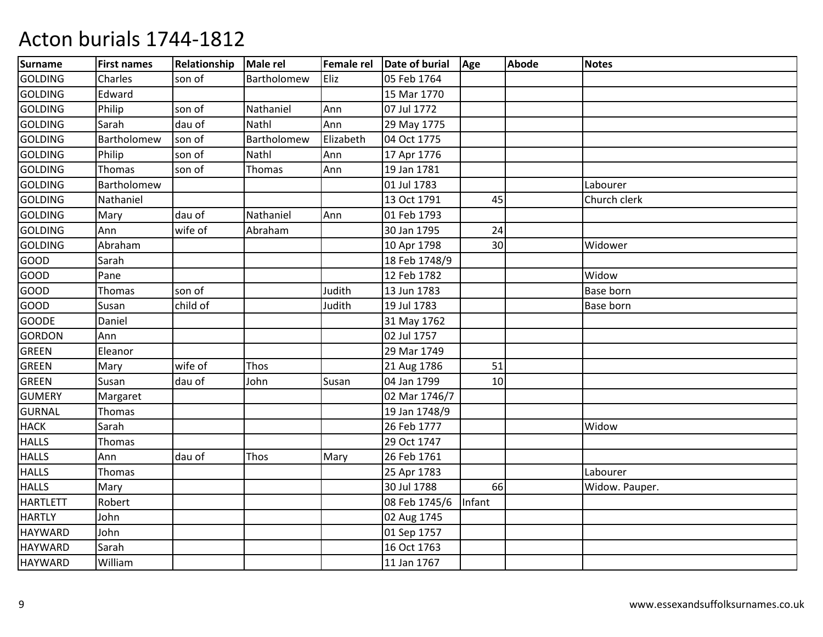| <b>Surname</b>  | <b>First names</b> | <b>Relationship</b> | Male rel    | Female rel | Date of burial | Age    | Abode | <b>Notes</b>   |
|-----------------|--------------------|---------------------|-------------|------------|----------------|--------|-------|----------------|
| <b>GOLDING</b>  | Charles            | son of              | Bartholomew | Eliz       | 05 Feb 1764    |        |       |                |
| <b>GOLDING</b>  | Edward             |                     |             |            | 15 Mar 1770    |        |       |                |
| <b>GOLDING</b>  | Philip             | son of              | Nathaniel   | Ann        | 07 Jul 1772    |        |       |                |
| <b>GOLDING</b>  | Sarah              | dau of              | Nathl       | Ann        | 29 May 1775    |        |       |                |
| <b>GOLDING</b>  | Bartholomew        | son of              | Bartholomew | Elizabeth  | 04 Oct 1775    |        |       |                |
| <b>GOLDING</b>  | Philip             | son of              | Nathl       | Ann        | 17 Apr 1776    |        |       |                |
| <b>GOLDING</b>  | Thomas             | son of              | Thomas      | Ann        | 19 Jan 1781    |        |       |                |
| <b>GOLDING</b>  | Bartholomew        |                     |             |            | 01 Jul 1783    |        |       | Labourer       |
| <b>GOLDING</b>  | Nathaniel          |                     |             |            | 13 Oct 1791    | 45     |       | Church clerk   |
| <b>GOLDING</b>  | Mary               | dau of              | Nathaniel   | Ann        | 01 Feb 1793    |        |       |                |
| <b>GOLDING</b>  | Ann                | wife of             | Abraham     |            | 30 Jan 1795    | 24     |       |                |
| <b>GOLDING</b>  | Abraham            |                     |             |            | 10 Apr 1798    | 30     |       | Widower        |
| <b>GOOD</b>     | Sarah              |                     |             |            | 18 Feb 1748/9  |        |       |                |
| GOOD            | Pane               |                     |             |            | 12 Feb 1782    |        |       | Widow          |
| GOOD            | <b>Thomas</b>      | son of              |             | Judith     | 13 Jun 1783    |        |       | Base born      |
| GOOD            | Susan              | child of            |             | Judith     | 19 Jul 1783    |        |       | Base born      |
| <b>GOODE</b>    | Daniel             |                     |             |            | 31 May 1762    |        |       |                |
| <b>GORDON</b>   | Ann                |                     |             |            | 02 Jul 1757    |        |       |                |
| GREEN           | Eleanor            |                     |             |            | 29 Mar 1749    |        |       |                |
| <b>GREEN</b>    | Mary               | wife of             | Thos        |            | 21 Aug 1786    | 51     |       |                |
| <b>GREEN</b>    | Susan              | dau of              | John        | Susan      | 04 Jan 1799    | 10     |       |                |
| <b>GUMERY</b>   | Margaret           |                     |             |            | 02 Mar 1746/7  |        |       |                |
| <b>GURNAL</b>   | Thomas             |                     |             |            | 19 Jan 1748/9  |        |       |                |
| <b>HACK</b>     | Sarah              |                     |             |            | 26 Feb 1777    |        |       | Widow          |
| <b>HALLS</b>    | Thomas             |                     |             |            | 29 Oct 1747    |        |       |                |
| <b>HALLS</b>    | Ann                | dau of              | Thos        | Mary       | 26 Feb 1761    |        |       |                |
| <b>HALLS</b>    | Thomas             |                     |             |            | 25 Apr 1783    |        |       | Labourer       |
| <b>HALLS</b>    | Mary               |                     |             |            | 30 Jul 1788    | 66     |       | Widow. Pauper. |
| <b>HARTLETT</b> | Robert             |                     |             |            | 08 Feb 1745/6  | Infant |       |                |
| <b>HARTLY</b>   | John               |                     |             |            | 02 Aug 1745    |        |       |                |
| <b>HAYWARD</b>  | John               |                     |             |            | 01 Sep 1757    |        |       |                |
| <b>HAYWARD</b>  | Sarah              |                     |             |            | 16 Oct 1763    |        |       |                |
| <b>HAYWARD</b>  | William            |                     |             |            | 11 Jan 1767    |        |       |                |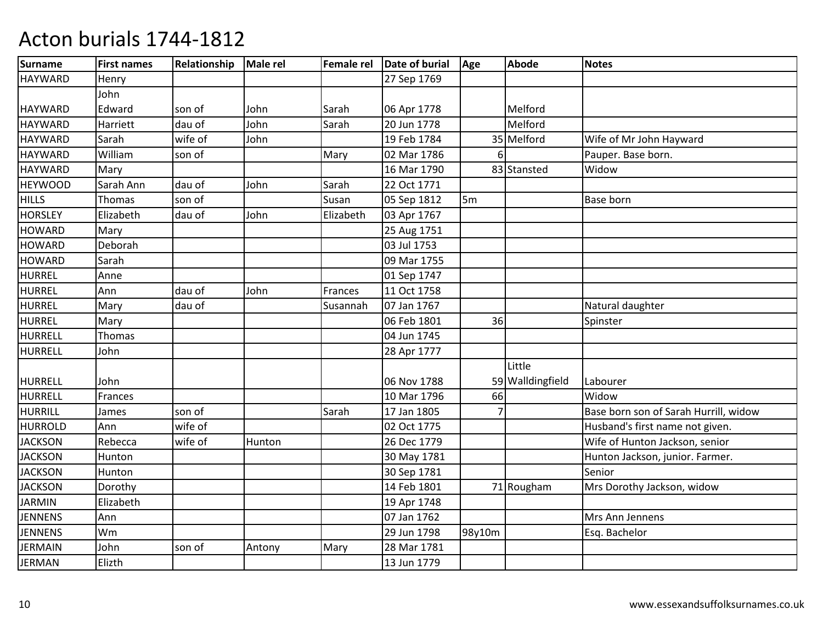| Surname        | <b>First names</b> | Relationship | Male rel | Female rel | Date of burial | Age            | Abode            | <b>Notes</b>                          |
|----------------|--------------------|--------------|----------|------------|----------------|----------------|------------------|---------------------------------------|
| <b>HAYWARD</b> | Henry              |              |          |            | 27 Sep 1769    |                |                  |                                       |
|                | John               |              |          |            |                |                |                  |                                       |
| <b>HAYWARD</b> | Edward             | son of       | John     | Sarah      | 06 Apr 1778    |                | Melford          |                                       |
| <b>HAYWARD</b> | Harriett           | dau of       | John     | Sarah      | 20 Jun 1778    |                | Melford          |                                       |
| <b>HAYWARD</b> | Sarah              | wife of      | John     |            | 19 Feb 1784    |                | 35 Melford       | Wife of Mr John Hayward               |
| <b>HAYWARD</b> | William            | son of       |          | Mary       | 02 Mar 1786    | 6              |                  | Pauper. Base born.                    |
| <b>HAYWARD</b> | Mary               |              |          |            | 16 Mar 1790    |                | 83 Stansted      | Widow                                 |
| <b>HEYWOOD</b> | Sarah Ann          | dau of       | John     | Sarah      | 22 Oct 1771    |                |                  |                                       |
| <b>HILLS</b>   | <b>Thomas</b>      | son of       |          | Susan      | 05 Sep 1812    | 5m             |                  | Base born                             |
| <b>HORSLEY</b> | Elizabeth          | dau of       | John     | Elizabeth  | 03 Apr 1767    |                |                  |                                       |
| <b>HOWARD</b>  | Mary               |              |          |            | 25 Aug 1751    |                |                  |                                       |
| <b>HOWARD</b>  | Deborah            |              |          |            | 03 Jul 1753    |                |                  |                                       |
| <b>HOWARD</b>  | Sarah              |              |          |            | 09 Mar 1755    |                |                  |                                       |
| <b>HURREL</b>  | Anne               |              |          |            | 01 Sep 1747    |                |                  |                                       |
| HURREL         | Ann                | dau of       | John     | Frances    | 11 Oct 1758    |                |                  |                                       |
| <b>HURREL</b>  | Mary               | dau of       |          | Susannah   | 07 Jan 1767    |                |                  | Natural daughter                      |
| HURREL         | Mary               |              |          |            | 06 Feb 1801    | 36             |                  | Spinster                              |
| HURRELL        | Thomas             |              |          |            | 04 Jun 1745    |                |                  |                                       |
| <b>HURRELL</b> | John               |              |          |            | 28 Apr 1777    |                |                  |                                       |
|                |                    |              |          |            |                |                | Little           |                                       |
| HURRELL        | John               |              |          |            | 06 Nov 1788    |                | 59 Walldingfield | Labourer                              |
| HURRELL        | Frances            |              |          |            | 10 Mar 1796    | 66             |                  | Widow                                 |
| HURRILL        | James              | son of       |          | Sarah      | 17 Jan 1805    | $\overline{7}$ |                  | Base born son of Sarah Hurrill, widow |
| <b>HURROLD</b> | Ann                | wife of      |          |            | 02 Oct 1775    |                |                  | Husband's first name not given.       |
| <b>JACKSON</b> | Rebecca            | wife of      | Hunton   |            | 26 Dec 1779    |                |                  | Wife of Hunton Jackson, senior        |
| <b>JACKSON</b> | Hunton             |              |          |            | 30 May 1781    |                |                  | Hunton Jackson, junior. Farmer.       |
| <b>JACKSON</b> | Hunton             |              |          |            | 30 Sep 1781    |                |                  | Senior                                |
| <b>JACKSON</b> | Dorothy            |              |          |            | 14 Feb 1801    |                | 71 Rougham       | Mrs Dorothy Jackson, widow            |
| <b>JARMIN</b>  | Elizabeth          |              |          |            | 19 Apr 1748    |                |                  |                                       |
| <b>JENNENS</b> | Ann                |              |          |            | 07 Jan 1762    |                |                  | Mrs Ann Jennens                       |
| <b>JENNENS</b> | Wm                 |              |          |            | 29 Jun 1798    | 98y10m         |                  | Esq. Bachelor                         |
| <b>JERMAIN</b> | John               | son of       | Antony   | Mary       | 28 Mar 1781    |                |                  |                                       |
| JERMAN         | Elizth             |              |          |            | 13 Jun 1779    |                |                  |                                       |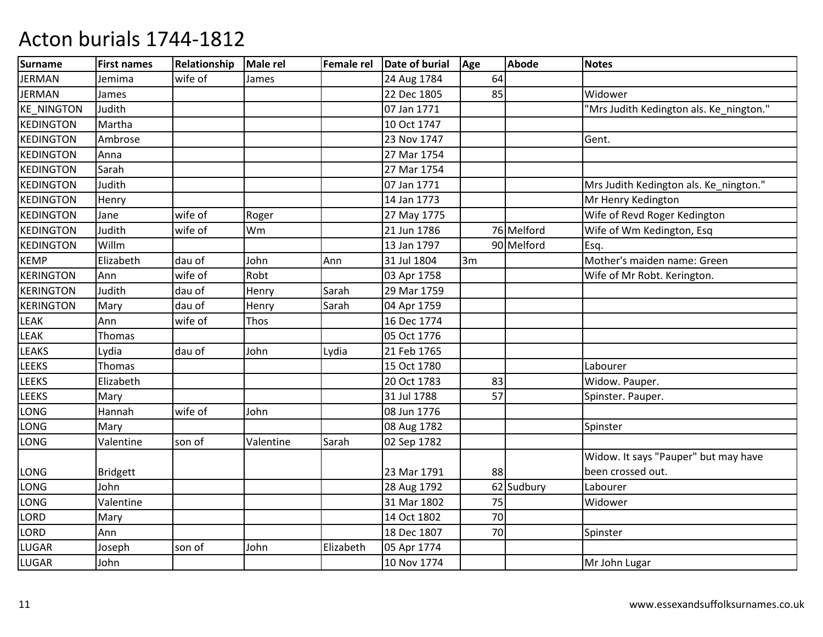| Surname           | <b>First names</b> | Relationship | <b>Male rel</b> | <b>Female rel</b> | Date of burial | Age | Abode      | <b>Notes</b>                            |
|-------------------|--------------------|--------------|-----------------|-------------------|----------------|-----|------------|-----------------------------------------|
| <b>JERMAN</b>     | Jemima             | wife of      | James           |                   | 24 Aug 1784    | 64  |            |                                         |
| <b>JERMAN</b>     | James              |              |                 |                   | 22 Dec 1805    | 85  |            | Widower                                 |
| <b>KE NINGTON</b> | Judith             |              |                 |                   | 07 Jan 1771    |     |            | "Mrs Judith Kedington als. Ke_nington." |
| <b>KEDINGTON</b>  | Martha             |              |                 |                   | 10 Oct 1747    |     |            |                                         |
| <b>KEDINGTON</b>  | Ambrose            |              |                 |                   | 23 Nov 1747    |     |            | Gent.                                   |
| <b>KEDINGTON</b>  | Anna               |              |                 |                   | 27 Mar 1754    |     |            |                                         |
| <b>KEDINGTON</b>  | Sarah              |              |                 |                   | 27 Mar 1754    |     |            |                                         |
| KEDINGTON         | Judith             |              |                 |                   | 07 Jan 1771    |     |            | Mrs Judith Kedington als. Ke_nington."  |
| <b>KEDINGTON</b>  | Henry              |              |                 |                   | 14 Jan 1773    |     |            | Mr Henry Kedington                      |
| <b>KEDINGTON</b>  | Jane               | wife of      | Roger           |                   | 27 May 1775    |     |            | Wife of Revd Roger Kedington            |
| <b>KEDINGTON</b>  | Judith             | wife of      | Wm              |                   | 21 Jun 1786    |     | 76 Melford | Wife of Wm Kedington, Esq               |
| <b>KEDINGTON</b>  | Willm              |              |                 |                   | 13 Jan 1797    |     | 90 Melford | Esq.                                    |
| <b>KEMP</b>       | Elizabeth          | dau of       | John            | Ann               | 31 Jul 1804    | 3m  |            | Mother's maiden name: Green             |
| <b>KERINGTON</b>  | Ann                | wife of      | Robt            |                   | 03 Apr 1758    |     |            | Wife of Mr Robt. Kerington.             |
| <b>KERINGTON</b>  | Judith             | dau of       | Henry           | Sarah             | 29 Mar 1759    |     |            |                                         |
| <b>KERINGTON</b>  | Mary               | dau of       | Henry           | Sarah             | 04 Apr 1759    |     |            |                                         |
| <b>LEAK</b>       | Ann                | wife of      | <b>Thos</b>     |                   | 16 Dec 1774    |     |            |                                         |
| LEAK              | Thomas             |              |                 |                   | 05 Oct 1776    |     |            |                                         |
| <b>LEAKS</b>      | Lydia              | dau of       | John            | Lydia             | 21 Feb 1765    |     |            |                                         |
| <b>LEEKS</b>      | Thomas             |              |                 |                   | 15 Oct 1780    |     |            | Labourer                                |
| <b>LEEKS</b>      | Elizabeth          |              |                 |                   | 20 Oct 1783    | 83  |            | Widow. Pauper.                          |
| <b>LEEKS</b>      | Mary               |              |                 |                   | 31 Jul 1788    | 57  |            | Spinster. Pauper.                       |
| LONG              | Hannah             | wife of      | John            |                   | 08 Jun 1776    |     |            |                                         |
| LONG              | Mary               |              |                 |                   | 08 Aug 1782    |     |            | Spinster                                |
| LONG              | Valentine          | son of       | Valentine       | Sarah             | 02 Sep 1782    |     |            |                                         |
|                   |                    |              |                 |                   |                |     |            | Widow. It says "Pauper" but may have    |
| LONG              | <b>Bridgett</b>    |              |                 |                   | 23 Mar 1791    | 88  |            | been crossed out.                       |
| LONG              | John               |              |                 |                   | 28 Aug 1792    |     | 62 Sudbury | Labourer                                |
| LONG              | Valentine          |              |                 |                   | 31 Mar 1802    | 75  |            | Widower                                 |
| LORD              | Mary               |              |                 |                   | 14 Oct 1802    | 70  |            |                                         |
| LORD              | Ann                |              |                 |                   | 18 Dec 1807    | 70  |            | Spinster                                |
| LUGAR             | Joseph             | son of       | John            | Elizabeth         | 05 Apr 1774    |     |            |                                         |
| <b>LUGAR</b>      | John               |              |                 |                   | 10 Nov 1774    |     |            | Mr John Lugar                           |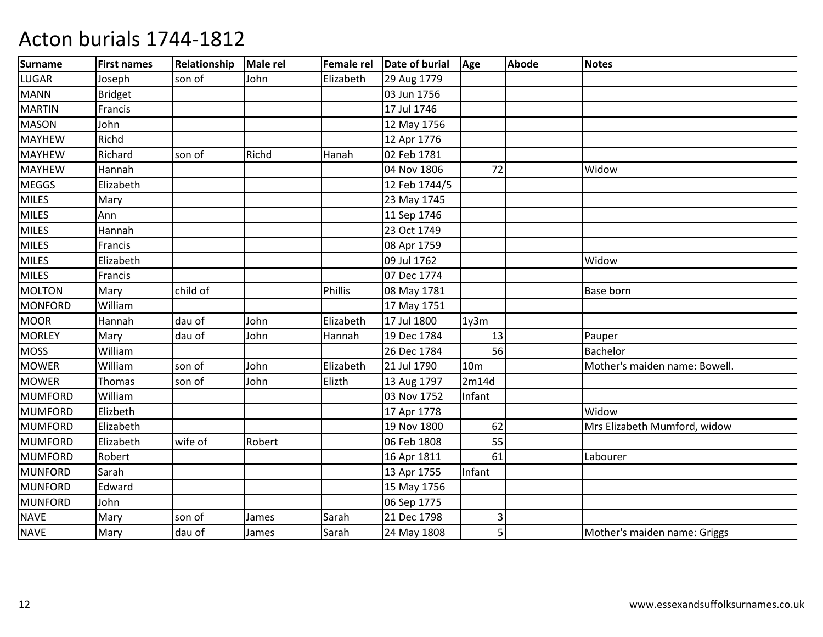| <b>Surname</b> | <b>First names</b> | Relationship | Male rel | Female rel | Date of burial | Age             | <b>Abode</b> | <b>Notes</b>                  |
|----------------|--------------------|--------------|----------|------------|----------------|-----------------|--------------|-------------------------------|
| <b>LUGAR</b>   | Joseph             | son of       | John     | Elizabeth  | 29 Aug 1779    |                 |              |                               |
| <b>MANN</b>    | <b>Bridget</b>     |              |          |            | 03 Jun 1756    |                 |              |                               |
| <b>MARTIN</b>  | Francis            |              |          |            | 17 Jul 1746    |                 |              |                               |
| <b>MASON</b>   | John               |              |          |            | 12 May 1756    |                 |              |                               |
| <b>MAYHEW</b>  | Richd              |              |          |            | 12 Apr 1776    |                 |              |                               |
| <b>MAYHEW</b>  | Richard            | son of       | Richd    | Hanah      | 02 Feb 1781    |                 |              |                               |
| <b>MAYHEW</b>  | Hannah             |              |          |            | 04 Nov 1806    | 72              |              | Widow                         |
| <b>MEGGS</b>   | Elizabeth          |              |          |            | 12 Feb 1744/5  |                 |              |                               |
| <b>MILES</b>   | Mary               |              |          |            | 23 May 1745    |                 |              |                               |
| <b>MILES</b>   | Ann                |              |          |            | 11 Sep 1746    |                 |              |                               |
| <b>MILES</b>   | Hannah             |              |          |            | 23 Oct 1749    |                 |              |                               |
| <b>MILES</b>   | Francis            |              |          |            | 08 Apr 1759    |                 |              |                               |
| <b>MILES</b>   | Elizabeth          |              |          |            | 09 Jul 1762    |                 |              | Widow                         |
| <b>MILES</b>   | Francis            |              |          |            | 07 Dec 1774    |                 |              |                               |
| <b>MOLTON</b>  | Mary               | child of     |          | Phillis    | 08 May 1781    |                 |              | <b>Base born</b>              |
| <b>MONFORD</b> | William            |              |          |            | 17 May 1751    |                 |              |                               |
| <b>MOOR</b>    | Hannah             | dau of       | John     | Elizabeth  | 17 Jul 1800    | 1y3m            |              |                               |
| <b>MORLEY</b>  | Mary               | dau of       | John     | Hannah     | 19 Dec 1784    | 13              |              | Pauper                        |
| <b>MOSS</b>    | William            |              |          |            | 26 Dec 1784    | 56              |              | <b>Bachelor</b>               |
| <b>MOWER</b>   | William            | son of       | John     | Elizabeth  | 21 Jul 1790    | 10 <sub>m</sub> |              | Mother's maiden name: Bowell. |
| <b>MOWER</b>   | Thomas             | son of       | John     | Elizth     | 13 Aug 1797    | 2m14d           |              |                               |
| <b>MUMFORD</b> | William            |              |          |            | 03 Nov 1752    | Infant          |              |                               |
| <b>MUMFORD</b> | Elizbeth           |              |          |            | 17 Apr 1778    |                 |              | Widow                         |
| <b>MUMFORD</b> | Elizabeth          |              |          |            | 19 Nov 1800    | 62              |              | Mrs Elizabeth Mumford, widow  |
| <b>MUMFORD</b> | Elizabeth          | wife of      | Robert   |            | 06 Feb 1808    | 55              |              |                               |
| <b>MUMFORD</b> | Robert             |              |          |            | 16 Apr 1811    | 61              |              | Labourer                      |
| <b>MUNFORD</b> | Sarah              |              |          |            | 13 Apr 1755    | Infant          |              |                               |
| <b>MUNFORD</b> | Edward             |              |          |            | 15 May 1756    |                 |              |                               |
| <b>MUNFORD</b> | John               |              |          |            | 06 Sep 1775    |                 |              |                               |
| <b>NAVE</b>    | Mary               | son of       | James    | Sarah      | 21 Dec 1798    | 3               |              |                               |
| <b>NAVE</b>    | Mary               | dau of       | James    | Sarah      | 24 May 1808    | 5 <sup>1</sup>  |              | Mother's maiden name: Griggs  |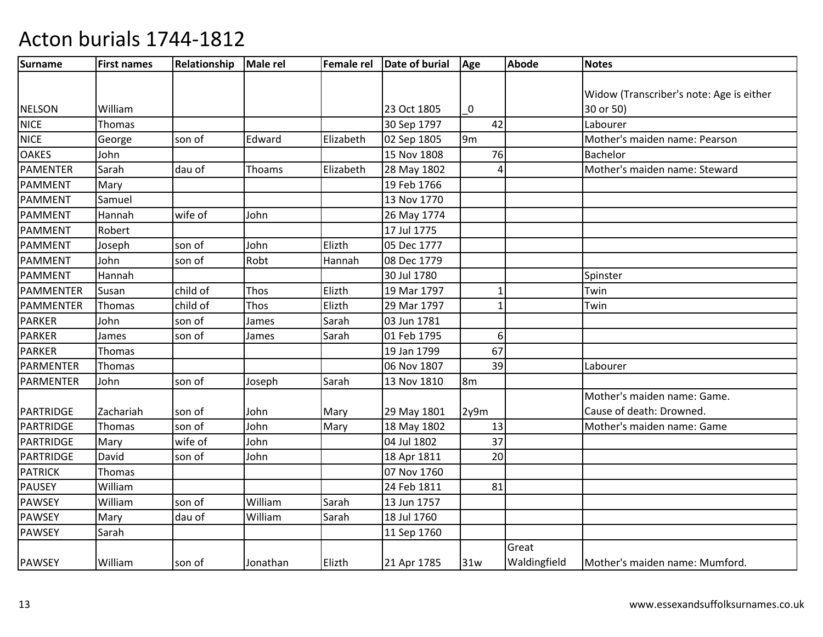| Surname          | <b>First names</b> | Relationship | <b>Male rel</b> | Female rel | Date of burial | Age            | <b>Abode</b> | <b>Notes</b>                             |
|------------------|--------------------|--------------|-----------------|------------|----------------|----------------|--------------|------------------------------------------|
|                  |                    |              |                 |            |                |                |              |                                          |
|                  |                    |              |                 |            |                |                |              | Widow (Transcriber's note: Age is either |
| NELSON           | William            |              |                 |            | 23 Oct 1805    | 0              |              | 30 or 50)                                |
| <b>NICE</b>      | Thomas             |              |                 |            | 30 Sep 1797    | 42             |              | Labourer                                 |
| <b>NICE</b>      | George             | son of       | Edward          | Elizabeth  | 02 Sep 1805    | 9m             |              | Mother's maiden name: Pearson            |
| <b>OAKES</b>     | John               |              |                 |            | 15 Nov 1808    | 76             |              | Bachelor                                 |
| PAMENTER         | Sarah              | dau of       | Thoams          | Elizabeth  | 28 May 1802    | Δ              |              | Mother's maiden name: Steward            |
| PAMMENT          | Mary               |              |                 |            | 19 Feb 1766    |                |              |                                          |
| PAMMENT          | Samuel             |              |                 |            | 13 Nov 1770    |                |              |                                          |
| PAMMENT          | Hannah             | wife of      | John            |            | 26 May 1774    |                |              |                                          |
| <b>PAMMENT</b>   | Robert             |              |                 |            | 17 Jul 1775    |                |              |                                          |
| PAMMENT          | Joseph             | son of       | John            | Elizth     | 05 Dec 1777    |                |              |                                          |
| PAMMENT          | John               | son of       | Robt            | Hannah     | 08 Dec 1779    |                |              |                                          |
| PAMMENT          | Hannah             |              |                 |            | 30 Jul 1780    |                |              | Spinster                                 |
| <b>PAMMENTER</b> | Susan              | child of     | Thos            | Elizth     | 19 Mar 1797    | 1              |              | Twin                                     |
| <b>PAMMENTER</b> | Thomas             | child of     | Thos            | Elizth     | 29 Mar 1797    | 1              |              | Twin                                     |
| PARKER           | John               | son of       | James           | Sarah      | 03 Jun 1781    |                |              |                                          |
| PARKER           | James              | son of       | James           | Sarah      | 01 Feb 1795    | $6\vert$       |              |                                          |
| <b>PARKER</b>    | Thomas             |              |                 |            | 19 Jan 1799    | 67             |              |                                          |
| PARMENTER        | Thomas             |              |                 |            | 06 Nov 1807    | 39             |              | Labourer                                 |
| PARMENTER        | John               | son of       | Joseph          | Sarah      | 13 Nov 1810    | 8 <sub>m</sub> |              |                                          |
|                  |                    |              |                 |            |                |                |              | Mother's maiden name: Game.              |
| PARTRIDGE        | Zachariah          | son of       | John            | Mary       | 29 May 1801    | 2y9m           |              | Cause of death: Drowned.                 |
| PARTRIDGE        | Thomas             | son of       | John            | Mary       | 18 May 1802    | 13             |              | Mother's maiden name: Game               |
| PARTRIDGE        | Mary               | wife of      | John            |            | 04 Jul 1802    | 37             |              |                                          |
| PARTRIDGE        | David              | son of       | John            |            | 18 Apr 1811    | 20             |              |                                          |
| PATRICK          | Thomas             |              |                 |            | 07 Nov 1760    |                |              |                                          |
| PAUSEY           | William            |              |                 |            | 24 Feb 1811    | 81             |              |                                          |
| PAWSEY           | William            | son of       | William         | Sarah      | 13 Jun 1757    |                |              |                                          |
| <b>PAWSEY</b>    | Mary               | dau of       | William         | Sarah      | 18 Jul 1760    |                |              |                                          |
| PAWSEY           | Sarah              |              |                 |            | 11 Sep 1760    |                |              |                                          |
|                  |                    |              |                 |            |                |                | Great        |                                          |
| PAWSEY           | William            | son of       | Jonathan        | Elizth     | 21 Apr 1785    | 31w            | Waldingfield | Mother's maiden name: Mumford.           |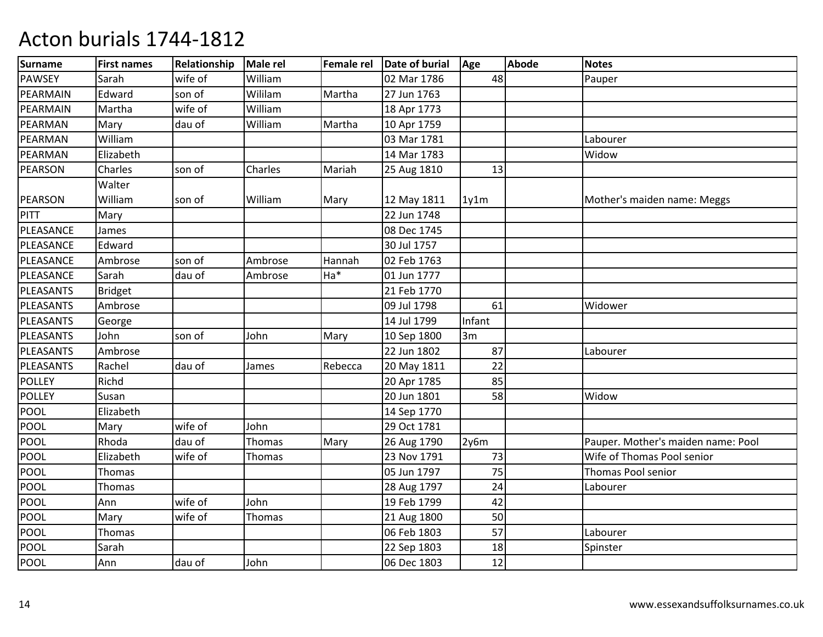| <b>Surname</b>   | <b>First names</b> | Relationship | <b>Male rel</b> | <b>Female rel</b> | Date of burial | Age    | Abode | <b>Notes</b>                       |
|------------------|--------------------|--------------|-----------------|-------------------|----------------|--------|-------|------------------------------------|
| <b>PAWSEY</b>    | Sarah              | wife of      | William         |                   | 02 Mar 1786    | 48     |       | Pauper                             |
| PEARMAIN         | Edward             | son of       | Wililam         | Martha            | 27 Jun 1763    |        |       |                                    |
| PEARMAIN         | Martha             | wife of      | William         |                   | 18 Apr 1773    |        |       |                                    |
| PEARMAN          | Mary               | dau of       | William         | Martha            | 10 Apr 1759    |        |       |                                    |
| PEARMAN          | William            |              |                 |                   | 03 Mar 1781    |        |       | Labourer                           |
| PEARMAN          | Elizabeth          |              |                 |                   | 14 Mar 1783    |        |       | Widow                              |
| PEARSON          | Charles            | son of       | Charles         | Mariah            | 25 Aug 1810    | 13     |       |                                    |
|                  | Walter             |              |                 |                   |                |        |       |                                    |
| PEARSON          | William            | son of       | William         | Mary              | 12 May 1811    | 1y1m   |       | Mother's maiden name: Meggs        |
| <b>PITT</b>      | Mary               |              |                 |                   | 22 Jun 1748    |        |       |                                    |
| PLEASANCE        | James              |              |                 |                   | 08 Dec 1745    |        |       |                                    |
| PLEASANCE        | Edward             |              |                 |                   | 30 Jul 1757    |        |       |                                    |
| PLEASANCE        | Ambrose            | son of       | Ambrose         | Hannah            | 02 Feb 1763    |        |       |                                    |
| PLEASANCE        | Sarah              | dau of       | Ambrose         | Ha*               | 01 Jun 1777    |        |       |                                    |
| PLEASANTS        | <b>Bridget</b>     |              |                 |                   | 21 Feb 1770    |        |       |                                    |
| PLEASANTS        | Ambrose            |              |                 |                   | 09 Jul 1798    | 61     |       | Widower                            |
| PLEASANTS        | George             |              |                 |                   | 14 Jul 1799    | Infant |       |                                    |
| <b>PLEASANTS</b> | John               | son of       | John            | Mary              | 10 Sep 1800    | 3m     |       |                                    |
| PLEASANTS        | Ambrose            |              |                 |                   | 22 Jun 1802    | 87     |       | Labourer                           |
| PLEASANTS        | Rachel             | dau of       | James           | Rebecca           | 20 May 1811    | 22     |       |                                    |
| <b>POLLEY</b>    | Richd              |              |                 |                   | 20 Apr 1785    | 85     |       |                                    |
| <b>POLLEY</b>    | Susan              |              |                 |                   | 20 Jun 1801    | 58     |       | Widow                              |
| POOL             | Elizabeth          |              |                 |                   | 14 Sep 1770    |        |       |                                    |
| POOL             | Mary               | wife of      | John            |                   | 29 Oct 1781    |        |       |                                    |
| POOL             | Rhoda              | dau of       | Thomas          | Mary              | 26 Aug 1790    | 2y6m   |       | Pauper. Mother's maiden name: Pool |
| <b>POOL</b>      | Elizabeth          | wife of      | Thomas          |                   | 23 Nov 1791    | 73     |       | Wife of Thomas Pool senior         |
| POOL             | Thomas             |              |                 |                   | 05 Jun 1797    | 75     |       | Thomas Pool senior                 |
| POOL             | Thomas             |              |                 |                   | 28 Aug 1797    | 24     |       | Labourer                           |
| POOL             | Ann                | wife of      | John            |                   | 19 Feb 1799    | 42     |       |                                    |
| POOL             | Mary               | wife of      | Thomas          |                   | 21 Aug 1800    | 50     |       |                                    |
| <b>POOL</b>      | Thomas             |              |                 |                   | 06 Feb 1803    | 57     |       | Labourer                           |
| <b>POOL</b>      | Sarah              |              |                 |                   | 22 Sep 1803    | 18     |       | Spinster                           |
| <b>POOL</b>      | Ann                | dau of       | John            |                   | 06 Dec 1803    | 12     |       |                                    |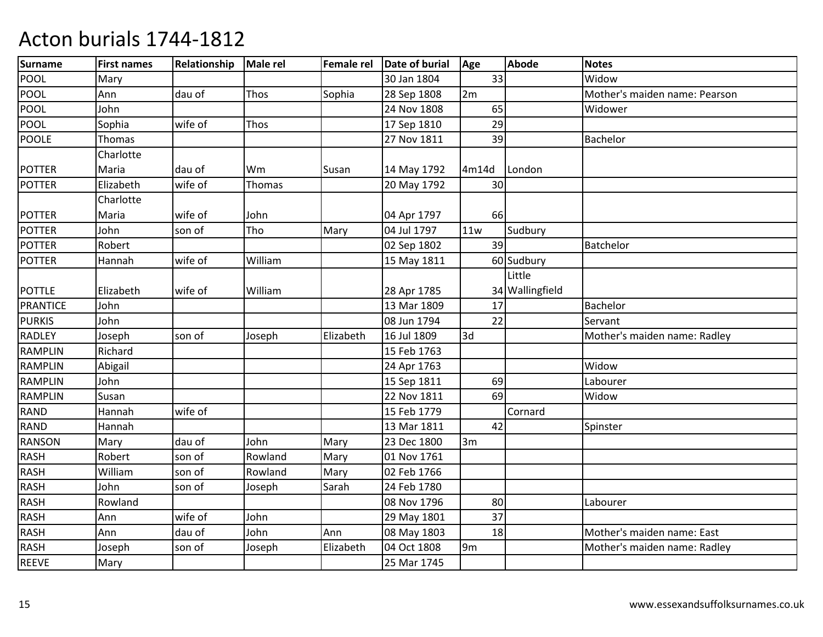| <b>Surname</b>  | <b>First names</b> | <b>Relationship</b> | Male rel | <b>Female rel</b> | Date of burial | Age             | Abode           | <b>Notes</b>                  |
|-----------------|--------------------|---------------------|----------|-------------------|----------------|-----------------|-----------------|-------------------------------|
| POOL            | Mary               |                     |          |                   | 30 Jan 1804    | 33              |                 | Widow                         |
| POOL            | Ann                | dau of              | Thos     | Sophia            | 28 Sep 1808    | 2m              |                 | Mother's maiden name: Pearson |
| <b>POOL</b>     | John               |                     |          |                   | 24 Nov 1808    | 65              |                 | Widower                       |
| POOL            | Sophia             | wife of             | Thos     |                   | 17 Sep 1810    | 29              |                 |                               |
| <b>POOLE</b>    | <b>Thomas</b>      |                     |          |                   | 27 Nov 1811    | 39              |                 | Bachelor                      |
|                 | Charlotte          |                     |          |                   |                |                 |                 |                               |
| <b>POTTER</b>   | Maria              | dau of              | Wm       | Susan             | 14 May 1792    | 4m14d           | London          |                               |
| <b>POTTER</b>   | Elizabeth          | wife of             | Thomas   |                   | 20 May 1792    | 30 <sup>1</sup> |                 |                               |
|                 | Charlotte          |                     |          |                   |                |                 |                 |                               |
| <b>POTTER</b>   | Maria              | wife of             | John     |                   | 04 Apr 1797    | 66              |                 |                               |
| <b>POTTER</b>   | John               | son of              | Tho      | Mary              | 04 Jul 1797    | 11w             | Sudbury         |                               |
| <b>POTTER</b>   | Robert             |                     |          |                   | 02 Sep 1802    | 39              |                 | Batchelor                     |
| <b>POTTER</b>   | Hannah             | wife of             | William  |                   | 15 May 1811    |                 | 60 Sudbury      |                               |
|                 |                    |                     |          |                   |                |                 | Little          |                               |
| <b>POTTLE</b>   | Elizabeth          | wife of             | William  |                   | 28 Apr 1785    |                 | 34 Wallingfield |                               |
| <b>PRANTICE</b> | John               |                     |          |                   | 13 Mar 1809    | 17              |                 | Bachelor                      |
| <b>PURKIS</b>   | John               |                     |          |                   | 08 Jun 1794    | 22              |                 | Servant                       |
| <b>RADLEY</b>   | Joseph             | son of              | Joseph   | Elizabeth         | 16 Jul 1809    | 3d              |                 | Mother's maiden name: Radley  |
| <b>RAMPLIN</b>  | Richard            |                     |          |                   | 15 Feb 1763    |                 |                 |                               |
| <b>RAMPLIN</b>  | Abigail            |                     |          |                   | 24 Apr 1763    |                 |                 | Widow                         |
| <b>RAMPLIN</b>  | John               |                     |          |                   | 15 Sep 1811    | 69              |                 | Labourer                      |
| <b>RAMPLIN</b>  | Susan              |                     |          |                   | 22 Nov 1811    | 69              |                 | Widow                         |
| <b>RAND</b>     | Hannah             | wife of             |          |                   | 15 Feb 1779    |                 | Cornard         |                               |
| <b>RAND</b>     | Hannah             |                     |          |                   | 13 Mar 1811    | 42              |                 | Spinster                      |
| <b>RANSON</b>   | Mary               | dau of              | John     | Mary              | 23 Dec 1800    | 3m              |                 |                               |
| <b>RASH</b>     | Robert             | son of              | Rowland  | Mary              | 01 Nov 1761    |                 |                 |                               |
| <b>RASH</b>     | William            | son of              | Rowland  | Mary              | 02 Feb 1766    |                 |                 |                               |
| RASH            | John               | son of              | Joseph   | Sarah             | 24 Feb 1780    |                 |                 |                               |
| RASH            | Rowland            |                     |          |                   | 08 Nov 1796    | 80              |                 | Labourer                      |
| RASH            | Ann                | wife of             | John     |                   | 29 May 1801    | 37              |                 |                               |
| <b>RASH</b>     | Ann                | dau of              | John     | Ann               | 08 May 1803    | 18              |                 | Mother's maiden name: East    |
| <b>RASH</b>     | Joseph             | son of              | Joseph   | Elizabeth         | 04 Oct 1808    | 9 <sub>m</sub>  |                 | Mother's maiden name: Radley  |
| <b>REEVE</b>    | Mary               |                     |          |                   | 25 Mar 1745    |                 |                 |                               |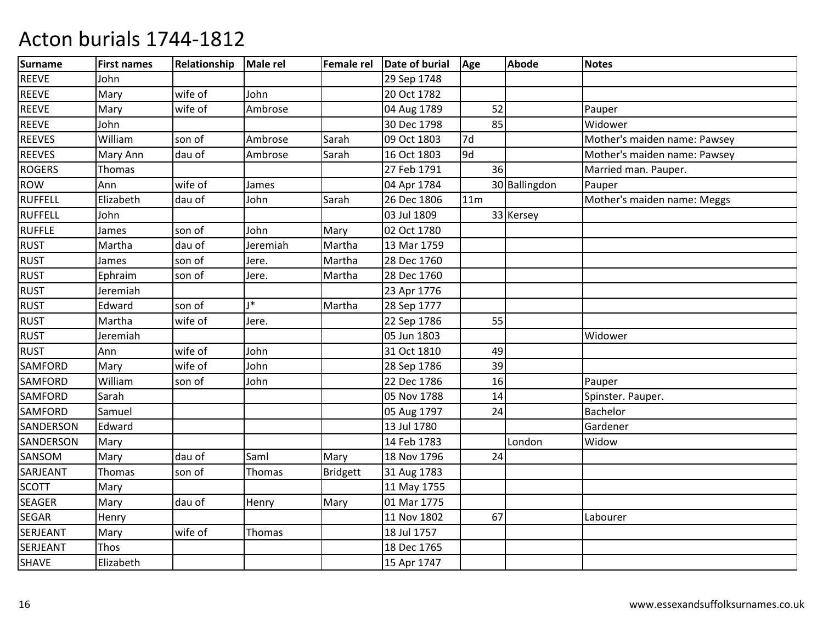| <b>Surname</b> | <b>First names</b> | Relationship | <b>Male rel</b> | Female rel      | Date of burial | Age             | <b>Abode</b>  | <b>Notes</b>                 |
|----------------|--------------------|--------------|-----------------|-----------------|----------------|-----------------|---------------|------------------------------|
| <b>REEVE</b>   | John               |              |                 |                 | 29 Sep 1748    |                 |               |                              |
| <b>REEVE</b>   | Mary               | wife of      | John            |                 | 20 Oct 1782    |                 |               |                              |
| <b>REEVE</b>   | Mary               | wife of      | Ambrose         |                 | 04 Aug 1789    | 52              |               | Pauper                       |
| <b>REEVE</b>   | John               |              |                 |                 | 30 Dec 1798    | 85              |               | Widower                      |
| <b>REEVES</b>  | William            | son of       | Ambrose         | Sarah           | 09 Oct 1803    | 7d              |               | Mother's maiden name: Pawsey |
| <b>REEVES</b>  | Mary Ann           | dau of       | Ambrose         | Sarah           | 16 Oct 1803    | 9d              |               | Mother's maiden name: Pawsey |
| <b>ROGERS</b>  | Thomas             |              |                 |                 | 27 Feb 1791    | 36              |               | Married man. Pauper.         |
| <b>ROW</b>     | Ann                | wife of      | James           |                 | 04 Apr 1784    |                 | 30 Ballingdon | Pauper                       |
| <b>RUFFELL</b> | Elizabeth          | dau of       | John            | Sarah           | 26 Dec 1806    | 11 <sub>m</sub> |               | Mother's maiden name: Meggs  |
| <b>RUFFELL</b> | John               |              |                 |                 | 03 Jul 1809    |                 | 33 Kersey     |                              |
| <b>RUFFLE</b>  | James              | son of       | John            | Mary            | 02 Oct 1780    |                 |               |                              |
| <b>RUST</b>    | Martha             | dau of       | Jeremiah        | Martha          | 13 Mar 1759    |                 |               |                              |
| <b>RUST</b>    | James              | son of       | Jere.           | Martha          | 28 Dec 1760    |                 |               |                              |
| <b>RUST</b>    | Ephraim            | son of       | Jere.           | Martha          | 28 Dec 1760    |                 |               |                              |
| <b>RUST</b>    | Jeremiah           |              |                 |                 | 23 Apr 1776    |                 |               |                              |
| <b>RUST</b>    | Edward             | son of       | $\mathsf{I}^*$  | Martha          | 28 Sep 1777    |                 |               |                              |
| <b>RUST</b>    | Martha             | wife of      | Jere.           |                 | 22 Sep 1786    | 55              |               |                              |
| <b>RUST</b>    | Jeremiah           |              |                 |                 | 05 Jun 1803    |                 |               | Widower                      |
| <b>RUST</b>    | Ann                | wife of      | John            |                 | 31 Oct 1810    | 49              |               |                              |
| SAMFORD        | Mary               | wife of      | John            |                 | 28 Sep 1786    | 39              |               |                              |
| SAMFORD        | William            | son of       | John            |                 | 22 Dec 1786    | 16              |               | Pauper                       |
| SAMFORD        | Sarah              |              |                 |                 | 05 Nov 1788    | 14              |               | Spinster. Pauper.            |
| SAMFORD        | Samuel             |              |                 |                 | 05 Aug 1797    | 24              |               | <b>Bachelor</b>              |
| SANDERSON      | Edward             |              |                 |                 | 13 Jul 1780    |                 |               | Gardener                     |
| SANDERSON      | Mary               |              |                 |                 | 14 Feb 1783    |                 | London        | Widow                        |
| SANSOM         | Mary               | dau of       | Saml            | Mary            | 18 Nov 1796    | 24              |               |                              |
| SARJEANT       | Thomas             | son of       | <b>Thomas</b>   | <b>Bridgett</b> | 31 Aug 1783    |                 |               |                              |
| <b>SCOTT</b>   | Mary               |              |                 |                 | 11 May 1755    |                 |               |                              |
| <b>SEAGER</b>  | Mary               | dau of       | Henry           | Mary            | 01 Mar 1775    |                 |               |                              |
| SEGAR          | Henry              |              |                 |                 | 11 Nov 1802    | 67              |               | Labourer                     |
| SERJEANT       | Mary               | wife of      | Thomas          |                 | 18 Jul 1757    |                 |               |                              |
| SERJEANT       | Thos               |              |                 |                 | 18 Dec 1765    |                 |               |                              |
| <b>SHAVE</b>   | Elizabeth          |              |                 |                 | 15 Apr 1747    |                 |               |                              |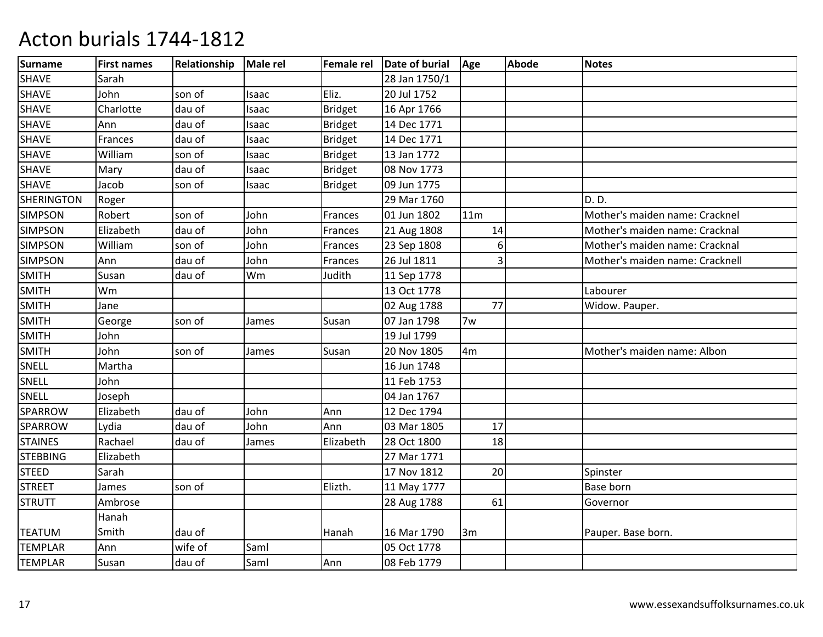| <b>Surname</b>    | <b>First names</b> | Relationship | Male rel | Female rel     | Date of burial | Age            | Abode | <b>Notes</b>                    |
|-------------------|--------------------|--------------|----------|----------------|----------------|----------------|-------|---------------------------------|
| <b>SHAVE</b>      | Sarah              |              |          |                | 28 Jan 1750/1  |                |       |                                 |
| <b>SHAVE</b>      | John               | son of       | Isaac    | Eliz.          | 20 Jul 1752    |                |       |                                 |
| <b>SHAVE</b>      | Charlotte          | dau of       | Isaac    | <b>Bridget</b> | 16 Apr 1766    |                |       |                                 |
| <b>SHAVE</b>      | Ann                | dau of       | Isaac    | <b>Bridget</b> | 14 Dec 1771    |                |       |                                 |
| <b>SHAVE</b>      | Frances            | dau of       | Isaac    | <b>Bridget</b> | 14 Dec 1771    |                |       |                                 |
| SHAVE             | William            | son of       | Isaac    | <b>Bridget</b> | 13 Jan 1772    |                |       |                                 |
| <b>SHAVE</b>      | Mary               | dau of       | Isaac    | <b>Bridget</b> | 08 Nov 1773    |                |       |                                 |
| <b>SHAVE</b>      | Jacob              | son of       | Isaac    | <b>Bridget</b> | 09 Jun 1775    |                |       |                                 |
| <b>SHERINGTON</b> | Roger              |              |          |                | 29 Mar 1760    |                |       | D. D.                           |
| <b>SIMPSON</b>    | Robert             | son of       | John     | Frances        | 01 Jun 1802    | 11m            |       | Mother's maiden name: Cracknel  |
| <b>SIMPSON</b>    | Elizabeth          | dau of       | John     | Frances        | 21 Aug 1808    | 14             |       | Mother's maiden name: Cracknal  |
| <b>SIMPSON</b>    | William            | son of       | John     | Frances        | 23 Sep 1808    | 6 <sup>1</sup> |       | Mother's maiden name: Cracknal  |
| <b>SIMPSON</b>    | Ann                | dau of       | John     | Frances        | 26 Jul 1811    | 3              |       | Mother's maiden name: Cracknell |
| <b>SMITH</b>      | Susan              | dau of       | Wm       | Judith         | 11 Sep 1778    |                |       |                                 |
| <b>SMITH</b>      | Wm                 |              |          |                | 13 Oct 1778    |                |       | Labourer                        |
| <b>SMITH</b>      | Jane               |              |          |                | 02 Aug 1788    | 77             |       | Widow. Pauper.                  |
| <b>SMITH</b>      | George             | son of       | James    | Susan          | 07 Jan 1798    | 7w             |       |                                 |
| <b>SMITH</b>      | John               |              |          |                | 19 Jul 1799    |                |       |                                 |
| <b>SMITH</b>      | John               | son of       | James    | Susan          | 20 Nov 1805    | 4 <sub>m</sub> |       | Mother's maiden name: Albon     |
| SNELL             | Martha             |              |          |                | 16 Jun 1748    |                |       |                                 |
| SNELL             | John               |              |          |                | 11 Feb 1753    |                |       |                                 |
| SNELL             | Joseph             |              |          |                | 04 Jan 1767    |                |       |                                 |
| <b>SPARROW</b>    | Elizabeth          | dau of       | John     | Ann            | 12 Dec 1794    |                |       |                                 |
| SPARROW           | Lydia              | dau of       | John     | Ann            | 03 Mar 1805    | 17             |       |                                 |
| <b>STAINES</b>    | Rachael            | dau of       | James    | Elizabeth      | 28 Oct 1800    | 18             |       |                                 |
| <b>STEBBING</b>   | Elizabeth          |              |          |                | 27 Mar 1771    |                |       |                                 |
| <b>STEED</b>      | Sarah              |              |          |                | 17 Nov 1812    | 20             |       | Spinster                        |
| <b>STREET</b>     | James              | son of       |          | Elizth.        | 11 May 1777    |                |       | Base born                       |
| <b>STRUTT</b>     | Ambrose            |              |          |                | 28 Aug 1788    | 61             |       | Governor                        |
|                   | Hanah              |              |          |                |                |                |       |                                 |
| <b>TEATUM</b>     | Smith              | dau of       |          | Hanah          | 16 Mar 1790    | 3m             |       | Pauper. Base born.              |
| <b>TEMPLAR</b>    | Ann                | wife of      | Saml     |                | 05 Oct 1778    |                |       |                                 |
| <b>TEMPLAR</b>    | Susan              | dau of       | Saml     | Ann            | 08 Feb 1779    |                |       |                                 |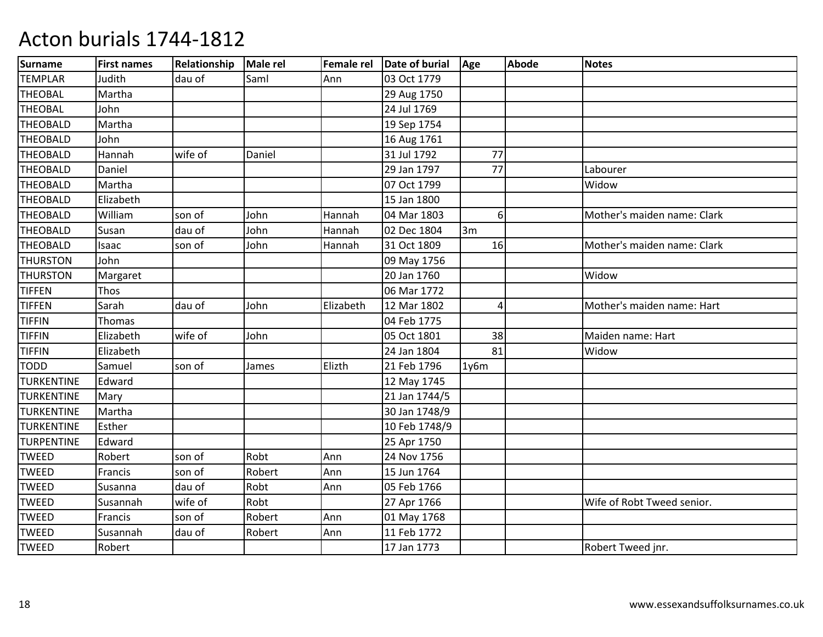| Surname           | <b>First names</b> | Relationship | Male rel | <b>Female rel</b> | Date of burial | Age            | <b>Abode</b> | <b>Notes</b>                |
|-------------------|--------------------|--------------|----------|-------------------|----------------|----------------|--------------|-----------------------------|
| <b>TEMPLAR</b>    | Judith             | dau of       | Saml     | Ann               | 03 Oct 1779    |                |              |                             |
| <b>THEOBAL</b>    | Martha             |              |          |                   | 29 Aug 1750    |                |              |                             |
| <b>THEOBAL</b>    | John               |              |          |                   | 24 Jul 1769    |                |              |                             |
| <b>THEOBALD</b>   | Martha             |              |          |                   | 19 Sep 1754    |                |              |                             |
| <b>THEOBALD</b>   | John               |              |          |                   | 16 Aug 1761    |                |              |                             |
| <b>THEOBALD</b>   | Hannah             | wife of      | Daniel   |                   | 31 Jul 1792    | 77             |              |                             |
| <b>THEOBALD</b>   | Daniel             |              |          |                   | 29 Jan 1797    | 77             |              | Labourer                    |
| <b>THEOBALD</b>   | Martha             |              |          |                   | 07 Oct 1799    |                |              | Widow                       |
| <b>THEOBALD</b>   | Elizabeth          |              |          |                   | 15 Jan 1800    |                |              |                             |
| <b>THEOBALD</b>   | William            | son of       | John     | Hannah            | 04 Mar 1803    | 6 <sup>1</sup> |              | Mother's maiden name: Clark |
| <b>THEOBALD</b>   | Susan              | dau of       | John     | Hannah            | 02 Dec 1804    | 3m             |              |                             |
| <b>THEOBALD</b>   | Isaac              | son of       | John     | Hannah            | 31 Oct 1809    | 16             |              | Mother's maiden name: Clark |
| <b>THURSTON</b>   | John               |              |          |                   | 09 May 1756    |                |              |                             |
| <b>THURSTON</b>   | Margaret           |              |          |                   | 20 Jan 1760    |                |              | Widow                       |
| <b>TIFFEN</b>     | Thos               |              |          |                   | 06 Mar 1772    |                |              |                             |
| <b>TIFFEN</b>     | Sarah              | dau of       | John     | Elizabeth         | 12 Mar 1802    | 4              |              | Mother's maiden name: Hart  |
| TIFFIN            | <b>Thomas</b>      |              |          |                   | 04 Feb 1775    |                |              |                             |
| TIFFIN            | Elizabeth          | wife of      | John     |                   | 05 Oct 1801    | 38             |              | Maiden name: Hart           |
| <b>TIFFIN</b>     | Elizabeth          |              |          |                   | 24 Jan 1804    | 81             |              | Widow                       |
| <b>TODD</b>       | Samuel             | son of       | James    | Elizth            | 21 Feb 1796    | 1y6m           |              |                             |
| <b>TURKENTINE</b> | Edward             |              |          |                   | 12 May 1745    |                |              |                             |
| <b>TURKENTINE</b> | Mary               |              |          |                   | 21 Jan 1744/5  |                |              |                             |
| <b>TURKENTINE</b> | Martha             |              |          |                   | 30 Jan 1748/9  |                |              |                             |
| <b>TURKENTINE</b> | Esther             |              |          |                   | 10 Feb 1748/9  |                |              |                             |
| <b>TURPENTINE</b> | Edward             |              |          |                   | 25 Apr 1750    |                |              |                             |
| <b>TWEED</b>      | Robert             | son of       | Robt     | Ann               | 24 Nov 1756    |                |              |                             |
| <b>TWEED</b>      | Francis            | son of       | Robert   | Ann               | 15 Jun 1764    |                |              |                             |
| <b>TWEED</b>      | Susanna            | dau of       | Robt     | Ann               | 05 Feb 1766    |                |              |                             |
| <b>TWEED</b>      | Susannah           | wife of      | Robt     |                   | 27 Apr 1766    |                |              | Wife of Robt Tweed senior.  |
| <b>TWEED</b>      | Francis            | son of       | Robert   | Ann               | 01 May 1768    |                |              |                             |
| <b>TWEED</b>      | Susannah           | dau of       | Robert   | Ann               | 11 Feb 1772    |                |              |                             |
| <b>TWEED</b>      | Robert             |              |          |                   | 17 Jan 1773    |                |              | Robert Tweed jnr.           |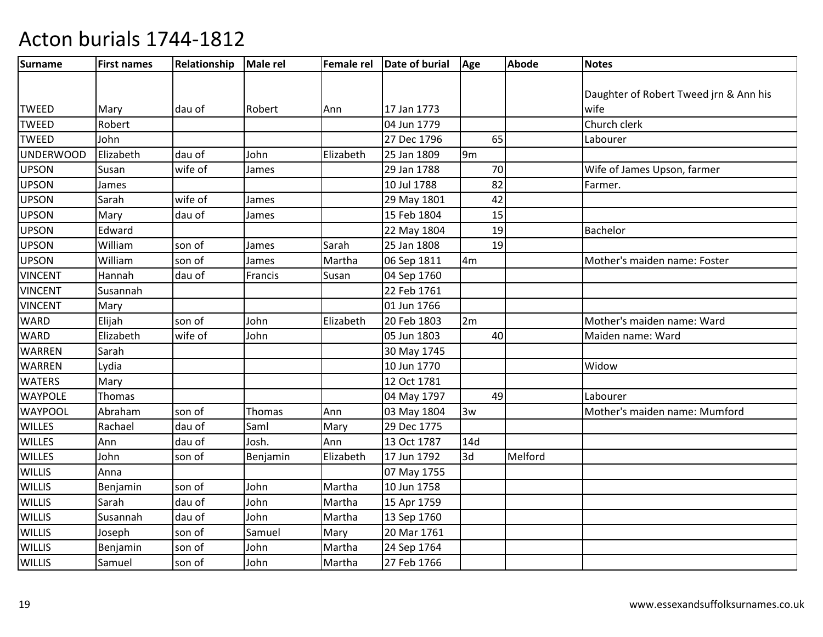| <b>Surname</b>   | <b>First names</b> | Relationship | Male rel | <b>Female rel</b> | Date of burial | Age | <b>Abode</b> | <b>Notes</b>                           |
|------------------|--------------------|--------------|----------|-------------------|----------------|-----|--------------|----------------------------------------|
|                  |                    |              |          |                   |                |     |              |                                        |
|                  |                    |              |          |                   |                |     |              | Daughter of Robert Tweed jrn & Ann his |
| <b>TWEED</b>     | Mary               | dau of       | Robert   | Ann               | 17 Jan 1773    |     |              | wife                                   |
| <b>TWEED</b>     | Robert             |              |          |                   | 04 Jun 1779    |     |              | Church clerk                           |
| <b>TWEED</b>     | John               |              |          |                   | 27 Dec 1796    | 65  |              | Labourer                               |
| <b>UNDERWOOD</b> | Elizabeth          | dau of       | John     | Elizabeth         | 25 Jan 1809    | 9m  |              |                                        |
| <b>UPSON</b>     | Susan              | wife of      | James    |                   | 29 Jan 1788    | 70  |              | Wife of James Upson, farmer            |
| <b>UPSON</b>     | James              |              |          |                   | 10 Jul 1788    | 82  |              | Farmer.                                |
| <b>UPSON</b>     | Sarah              | wife of      | James    |                   | 29 May 1801    | 42  |              |                                        |
| <b>UPSON</b>     | Mary               | dau of       | James    |                   | 15 Feb 1804    | 15  |              |                                        |
| <b>UPSON</b>     | Edward             |              |          |                   | 22 May 1804    | 19  |              | Bachelor                               |
| <b>UPSON</b>     | William            | son of       | James    | Sarah             | 25 Jan 1808    | 19  |              |                                        |
| <b>UPSON</b>     | William            | son of       | James    | Martha            | 06 Sep 1811    | 4m  |              | Mother's maiden name: Foster           |
| <b>VINCENT</b>   | Hannah             | dau of       | Francis  | Susan             | 04 Sep 1760    |     |              |                                        |
| <b>VINCENT</b>   | Susannah           |              |          |                   | 22 Feb 1761    |     |              |                                        |
| <b>VINCENT</b>   | Mary               |              |          |                   | 01 Jun 1766    |     |              |                                        |
| <b>WARD</b>      | Elijah             | son of       | John     | Elizabeth         | 20 Feb 1803    | 2m  |              | Mother's maiden name: Ward             |
| <b>WARD</b>      | Elizabeth          | wife of      | John     |                   | 05 Jun 1803    | 40  |              | Maiden name: Ward                      |
| <b>WARREN</b>    | Sarah              |              |          |                   | 30 May 1745    |     |              |                                        |
| <b>WARREN</b>    | Lydia              |              |          |                   | 10 Jun 1770    |     |              | Widow                                  |
| <b>WATERS</b>    | Mary               |              |          |                   | 12 Oct 1781    |     |              |                                        |
| <b>WAYPOLE</b>   | Thomas             |              |          |                   | 04 May 1797    | 49  |              | Labourer                               |
| WAYPOOL          | Abraham            | son of       | Thomas   | Ann               | 03 May 1804    | 3w  |              | Mother's maiden name: Mumford          |
| <b>WILLES</b>    | Rachael            | dau of       | Saml     | Mary              | 29 Dec 1775    |     |              |                                        |
| <b>WILLES</b>    | Ann                | dau of       | Josh.    | Ann               | 13 Oct 1787    | 14d |              |                                        |
| <b>WILLES</b>    | John               | son of       | Benjamin | Elizabeth         | 17 Jun 1792    | 3d  | Melford      |                                        |
| <b>WILLIS</b>    | Anna               |              |          |                   | 07 May 1755    |     |              |                                        |
| <b>WILLIS</b>    | Benjamin           | son of       | John     | Martha            | 10 Jun 1758    |     |              |                                        |
| <b>WILLIS</b>    | Sarah              | dau of       | John     | Martha            | 15 Apr 1759    |     |              |                                        |
| <b>WILLIS</b>    | Susannah           | dau of       | John     | Martha            | 13 Sep 1760    |     |              |                                        |
| <b>WILLIS</b>    | Joseph             | son of       | Samuel   | Mary              | 20 Mar 1761    |     |              |                                        |
| <b>WILLIS</b>    | Benjamin           | son of       | John     | Martha            | 24 Sep 1764    |     |              |                                        |
| <b>WILLIS</b>    | Samuel             | son of       | John     | Martha            | 27 Feb 1766    |     |              |                                        |